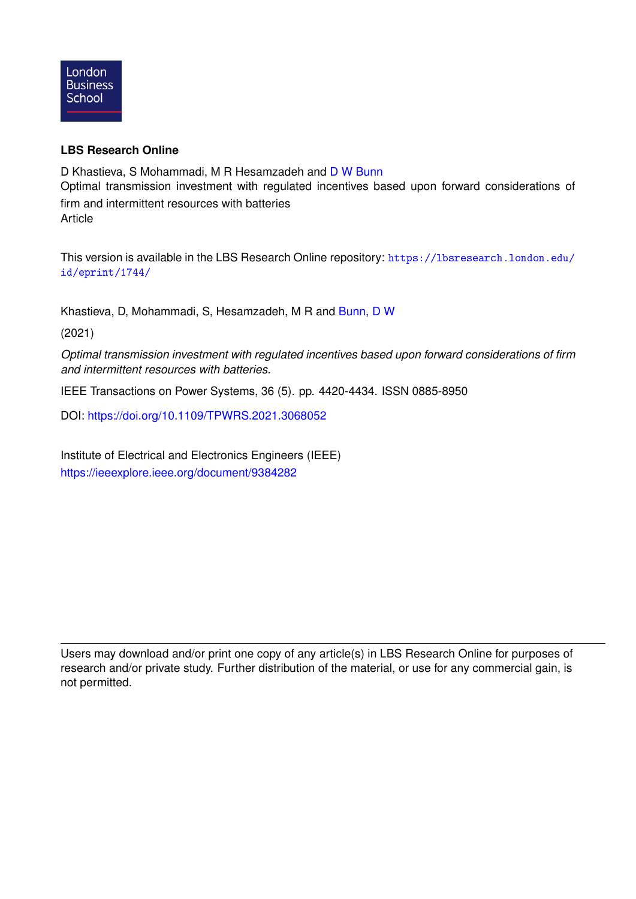

### **LBS Research Online**

D Khastieva, S Mohammadi, M R Hesamzadeh and [D W Bunn](https://lbsresearch.london.edu/view/lbs_authors/200683.html) Optimal transmission investment with regulated incentives based upon forward considerations of firm and intermittent resources with batteries **Article** 

This version is available in the LBS Research Online repository: [https://lbsresearch.london.edu/](https://lbsresearch.london.edu/id/eprint/1744/) [id/eprint/1744/](https://lbsresearch.london.edu/id/eprint/1744/)

Khastieva, D, Mohammadi, S, Hesamzadeh, M R and [Bunn, D W](https://lbsresearch.london.edu/view/lbs_authors/200683.html)

(2021)

*Optimal transmission investment with regulated incentives based upon forward considerations of firm and intermittent resources with batteries.*

IEEE Transactions on Power Systems, 36 (5). pp. 4420-4434. ISSN 0885-8950

DOI: <https://doi.org/10.1109/TPWRS.2021.3068052>

Institute of Electrical and Electronics Engineers (IEEE) <https://ieeexplore.ieee.org/document/9384282>

Users may download and/or print one copy of any article(s) in LBS Research Online for purposes of research and/or private study. Further distribution of the material, or use for any commercial gain, is not permitted.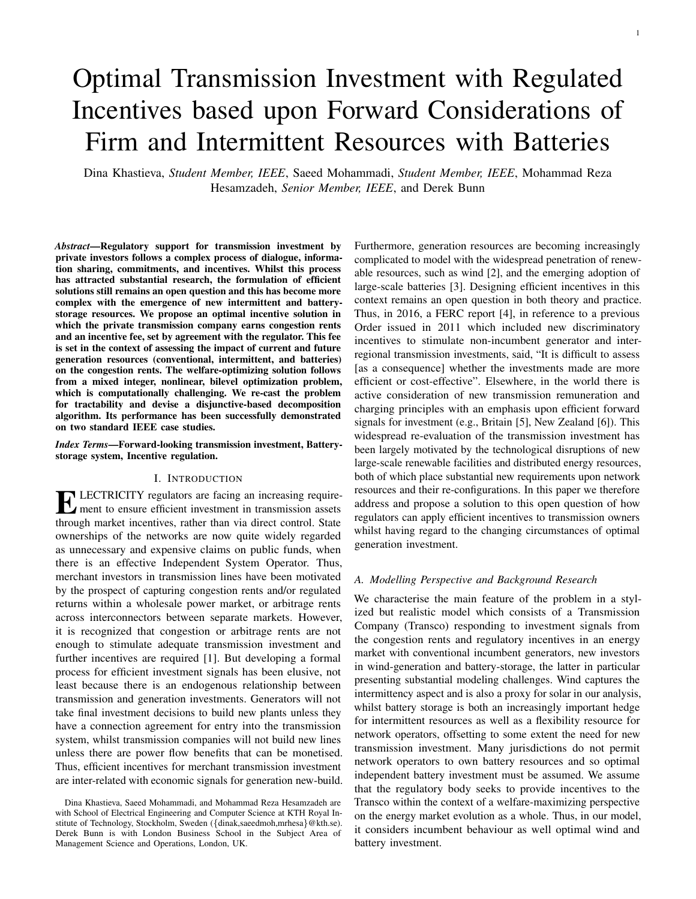# Optimal Transmission Investment with Regulated Incentives based upon Forward Considerations of Firm and Intermittent Resources with Batteries

Dina Khastieva, *Student Member, IEEE*, Saeed Mohammadi, *Student Member, IEEE*, Mohammad Reza Hesamzadeh, *Senior Member, IEEE*, and Derek Bunn

*Abstract*—Regulatory support for transmission investment by private investors follows a complex process of dialogue, information sharing, commitments, and incentives. Whilst this process has attracted substantial research, the formulation of efficient solutions still remains an open question and this has become more complex with the emergence of new intermittent and batterystorage resources. We propose an optimal incentive solution in which the private transmission company earns congestion rents and an incentive fee, set by agreement with the regulator. This fee is set in the context of assessing the impact of current and future generation resources (conventional, intermittent, and batteries) on the congestion rents. The welfare-optimizing solution follows from a mixed integer, nonlinear, bilevel optimization problem, which is computationally challenging. We re-cast the problem for tractability and devise a disjunctive-based decomposition algorithm. Its performance has been successfully demonstrated on two standard IEEE case studies.

*Index Terms*—Forward-looking transmission investment, Batterystorage system, Incentive regulation.

#### I. INTRODUCTION

ELECTRICITY regulators are facing an increasing require-<br>ment to ensure efficient investment in transmission assets ment to ensure efficient investment in transmission assets through market incentives, rather than via direct control. State ownerships of the networks are now quite widely regarded as unnecessary and expensive claims on public funds, when there is an effective Independent System Operator. Thus, merchant investors in transmission lines have been motivated by the prospect of capturing congestion rents and/or regulated returns within a wholesale power market, or arbitrage rents across interconnectors between separate markets. However, it is recognized that congestion or arbitrage rents are not enough to stimulate adequate transmission investment and further incentives are required [1]. But developing a formal process for efficient investment signals has been elusive, not least because there is an endogenous relationship between transmission and generation investments. Generators will not take final investment decisions to build new plants unless they have a connection agreement for entry into the transmission system, whilst transmission companies will not build new lines unless there are power flow benefits that can be monetised. Thus, efficient incentives for merchant transmission investment are inter-related with economic signals for generation new-build. Furthermore, generation resources are becoming increasingly complicated to model with the widespread penetration of renewable resources, such as wind [2], and the emerging adoption of large-scale batteries [3]. Designing efficient incentives in this context remains an open question in both theory and practice. Thus, in 2016, a FERC report [4], in reference to a previous Order issued in 2011 which included new discriminatory incentives to stimulate non-incumbent generator and interregional transmission investments, said, "It is difficult to assess [as a consequence] whether the investments made are more efficient or cost-effective". Elsewhere, in the world there is active consideration of new transmission remuneration and charging principles with an emphasis upon efficient forward signals for investment (e.g., Britain [5], New Zealand [6]). This widespread re-evaluation of the transmission investment has been largely motivated by the technological disruptions of new large-scale renewable facilities and distributed energy resources, both of which place substantial new requirements upon network resources and their re-configurations. In this paper we therefore address and propose a solution to this open question of how regulators can apply efficient incentives to transmission owners whilst having regard to the changing circumstances of optimal generation investment.

#### *A. Modelling Perspective and Background Research*

We characterise the main feature of the problem in a stylized but realistic model which consists of a Transmission Company (Transco) responding to investment signals from the congestion rents and regulatory incentives in an energy market with conventional incumbent generators, new investors in wind-generation and battery-storage, the latter in particular presenting substantial modeling challenges. Wind captures the intermittency aspect and is also a proxy for solar in our analysis, whilst battery storage is both an increasingly important hedge for intermittent resources as well as a flexibility resource for network operators, offsetting to some extent the need for new transmission investment. Many jurisdictions do not permit network operators to own battery resources and so optimal independent battery investment must be assumed. We assume that the regulatory body seeks to provide incentives to the Transco within the context of a welfare-maximizing perspective on the energy market evolution as a whole. Thus, in our model, it considers incumbent behaviour as well optimal wind and battery investment.

Dina Khastieva, Saeed Mohammadi, and Mohammad Reza Hesamzadeh are with School of Electrical Engineering and Computer Science at KTH Royal Institute of Technology, Stockholm, Sweden ({dinak,saeedmoh,mrhesa}@kth.se). Derek Bunn is with London Business School in the Subject Area of Management Science and Operations, London, UK.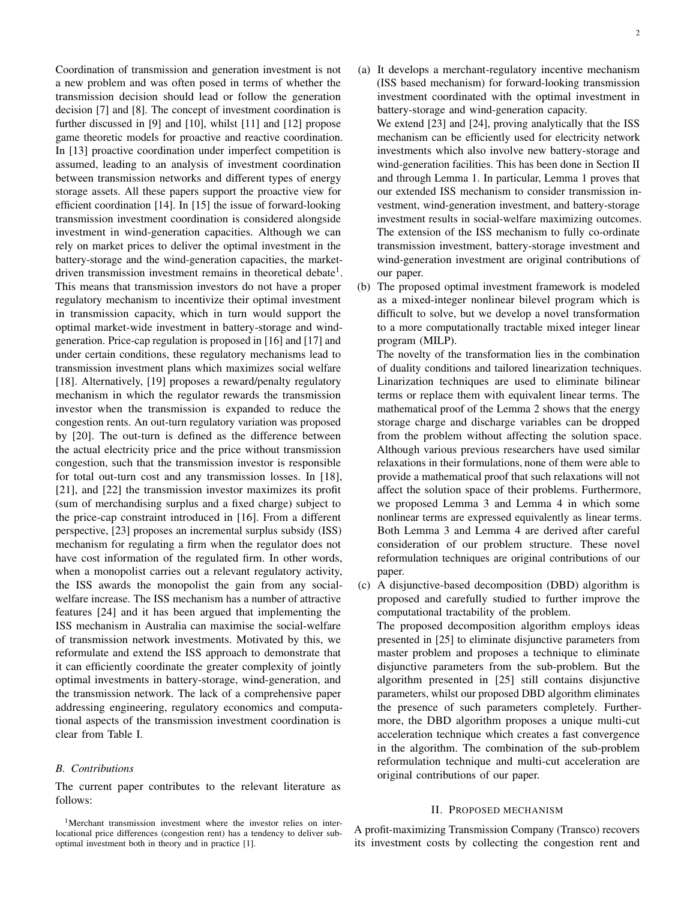Coordination of transmission and generation investment is not a new problem and was often posed in terms of whether the transmission decision should lead or follow the generation decision [7] and [8]. The concept of investment coordination is further discussed in [9] and [10], whilst [11] and [12] propose game theoretic models for proactive and reactive coordination. In [13] proactive coordination under imperfect competition is assumed, leading to an analysis of investment coordination between transmission networks and different types of energy storage assets. All these papers support the proactive view for efficient coordination [14]. In [15] the issue of forward-looking transmission investment coordination is considered alongside investment in wind-generation capacities. Although we can rely on market prices to deliver the optimal investment in the battery-storage and the wind-generation capacities, the marketdriven transmission investment remains in theoretical debate<sup>1</sup>. This means that transmission investors do not have a proper regulatory mechanism to incentivize their optimal investment in transmission capacity, which in turn would support the optimal market-wide investment in battery-storage and windgeneration. Price-cap regulation is proposed in [16] and [17] and under certain conditions, these regulatory mechanisms lead to transmission investment plans which maximizes social welfare [18]. Alternatively, [19] proposes a reward/penalty regulatory mechanism in which the regulator rewards the transmission investor when the transmission is expanded to reduce the congestion rents. An out-turn regulatory variation was proposed by [20]. The out-turn is defined as the difference between the actual electricity price and the price without transmission congestion, such that the transmission investor is responsible for total out-turn cost and any transmission losses. In [18], [21], and [22] the transmission investor maximizes its profit (sum of merchandising surplus and a fixed charge) subject to the price-cap constraint introduced in [16]. From a different perspective, [23] proposes an incremental surplus subsidy (ISS) mechanism for regulating a firm when the regulator does not have cost information of the regulated firm. In other words, when a monopolist carries out a relevant regulatory activity, the ISS awards the monopolist the gain from any socialwelfare increase. The ISS mechanism has a number of attractive features [24] and it has been argued that implementing the ISS mechanism in Australia can maximise the social-welfare of transmission network investments. Motivated by this, we reformulate and extend the ISS approach to demonstrate that it can efficiently coordinate the greater complexity of jointly optimal investments in battery-storage, wind-generation, and the transmission network. The lack of a comprehensive paper addressing engineering, regulatory economics and computational aspects of the transmission investment coordination is clear from Table I.

#### *B. Contributions*

The current paper contributes to the relevant literature as follows:

- (a) It develops a merchant-regulatory incentive mechanism (ISS based mechanism) for forward-looking transmission investment coordinated with the optimal investment in battery-storage and wind-generation capacity. We extend [23] and [24], proving analytically that the ISS mechanism can be efficiently used for electricity network investments which also involve new battery-storage and wind-generation facilities. This has been done in Section II and through Lemma 1. In particular, Lemma 1 proves that our extended ISS mechanism to consider transmission investment, wind-generation investment, and battery-storage investment results in social-welfare maximizing outcomes. The extension of the ISS mechanism to fully co-ordinate transmission investment, battery-storage investment and wind-generation investment are original contributions of our paper.
- (b) The proposed optimal investment framework is modeled as a mixed-integer nonlinear bilevel program which is difficult to solve, but we develop a novel transformation to a more computationally tractable mixed integer linear program (MILP).

The novelty of the transformation lies in the combination of duality conditions and tailored linearization techniques. Linarization techniques are used to eliminate bilinear terms or replace them with equivalent linear terms. The mathematical proof of the Lemma 2 shows that the energy storage charge and discharge variables can be dropped from the problem without affecting the solution space. Although various previous researchers have used similar relaxations in their formulations, none of them were able to provide a mathematical proof that such relaxations will not affect the solution space of their problems. Furthermore, we proposed Lemma 3 and Lemma 4 in which some nonlinear terms are expressed equivalently as linear terms. Both Lemma 3 and Lemma 4 are derived after careful consideration of our problem structure. These novel reformulation techniques are original contributions of our paper.

(c) A disjunctive-based decomposition (DBD) algorithm is proposed and carefully studied to further improve the computational tractability of the problem. The proposed decomposition algorithm employs ideas

presented in [25] to eliminate disjunctive parameters from master problem and proposes a technique to eliminate disjunctive parameters from the sub-problem. But the algorithm presented in [25] still contains disjunctive parameters, whilst our proposed DBD algorithm eliminates the presence of such parameters completely. Furthermore, the DBD algorithm proposes a unique multi-cut acceleration technique which creates a fast convergence in the algorithm. The combination of the sub-problem reformulation technique and multi-cut acceleration are original contributions of our paper.

#### II. PROPOSED MECHANISM

A profit-maximizing Transmission Company (Transco) recovers its investment costs by collecting the congestion rent and

<sup>1</sup>Merchant transmission investment where the investor relies on interlocational price differences (congestion rent) has a tendency to deliver suboptimal investment both in theory and in practice [1].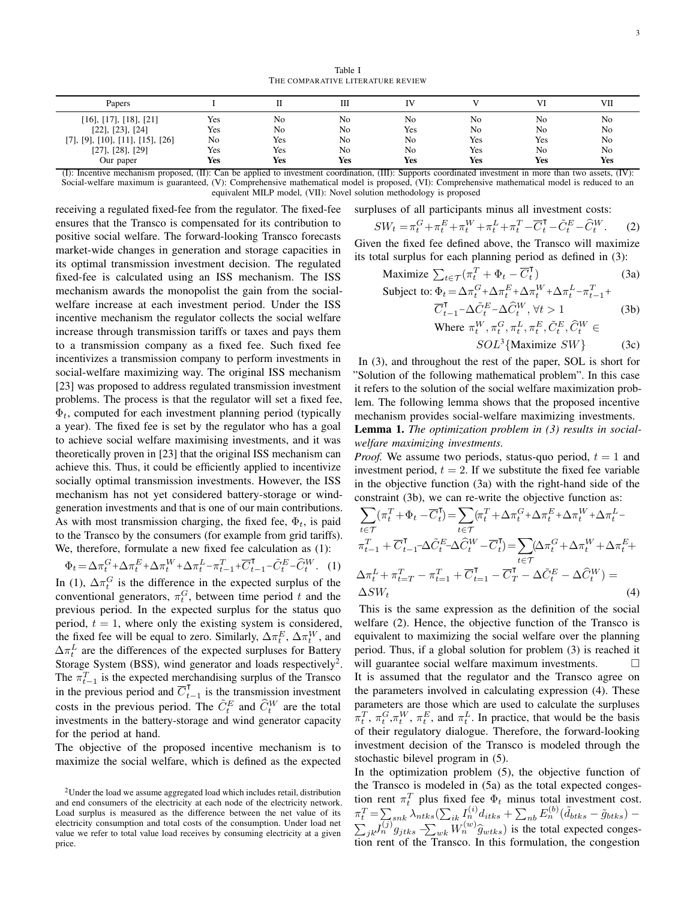Table I THE COMPARATIVE LITERATURE REVIEW

| Papers                                                                                                                                                                                                                                                                                       |     |     | Ш              |            |     | VI  | VІ         |
|----------------------------------------------------------------------------------------------------------------------------------------------------------------------------------------------------------------------------------------------------------------------------------------------|-----|-----|----------------|------------|-----|-----|------------|
| $[16]$ , $[17]$ , $[18]$ , $[21]$                                                                                                                                                                                                                                                            | Yes | No  | N <sub>0</sub> | No         | No  | No  | No         |
| $[22]$ , $[23]$ , $[24]$                                                                                                                                                                                                                                                                     | Yes | No  | N <sub>0</sub> | <b>Yes</b> | No  | No  | No         |
| $[10]$ , $[$<br>171, 191.<br>[11], [15], [26]                                                                                                                                                                                                                                                | No  | Yes | No             | No         | Yes | Yes | No         |
| [27], [28], [29]                                                                                                                                                                                                                                                                             | Yes | Yes | N <sub>0</sub> | No         | Yes | No  | No         |
| Our paper                                                                                                                                                                                                                                                                                    | Yes | Yes | Yes            | Yes        | Yes | Yes | <b>Yes</b> |
| (I), Incorporation and contract and the contract $\mathcal{L}$ and $\mathcal{L}$ and $\mathcal{L}$ and $\mathcal{L}$ and $\mathcal{L}$ and $\mathcal{L}$ and $\mathcal{L}$ and $\mathcal{L}$ and $\mathcal{L}$ and $\mathcal{L}$ and $\mathcal{L}$ and $\mathcal{L}$ and $\mathcal{L}$ (IV). |     |     |                |            |     |     |            |

(I): Incentive mechanism proposed, (II): Can be applied to investment coordination, (III): Supports coordinated investment in more than two assets, (IV): Social-welfare maximum is guaranteed, (V): Comprehensive mathematical model is proposed, (VI): Comprehensive mathematical model is reduced to an equivalent MILP model, (VII): Novel solution methodology is proposed

receiving a regulated fixed-fee from the regulator. The fixed-fee ensures that the Transco is compensated for its contribution to positive social welfare. The forward-looking Transco forecasts market-wide changes in generation and storage capacities in its optimal transmission investment decision. The regulated fixed-fee is calculated using an ISS mechanism. The ISS mechanism awards the monopolist the gain from the socialwelfare increase at each investment period. Under the ISS incentive mechanism the regulator collects the social welfare increase through transmission tariffs or taxes and pays them to a transmission company as a fixed fee. Such fixed fee incentivizes a transmission company to perform investments in social-welfare maximizing way. The original ISS mechanism [23] was proposed to address regulated transmission investment problems. The process is that the regulator will set a fixed fee,  $\Phi_t$ , computed for each investment planning period (typically a year). The fixed fee is set by the regulator who has a goal to achieve social welfare maximising investments, and it was theoretically proven in [23] that the original ISS mechanism can achieve this. Thus, it could be efficiently applied to incentivize socially optimal transmission investments. However, the ISS mechanism has not yet considered battery-storage or windgeneration investments and that is one of our main contributions. As with most transmission charging, the fixed fee,  $\Phi_t$ , is paid to the Transco by the consumers (for example from grid tariffs). We, therefore, formulate a new fixed fee calculation as (1):

$$
\Phi_t = \Delta \pi_t^G + \Delta \pi_t^E + \Delta \pi_t^W + \Delta \pi_t^L - \pi_{t-1}^T + \overline{C}_{t-1}^T - \tilde{C}_t^E - \widehat{C}_t^W. \tag{1}
$$

In (1),  $\Delta \pi_t^G$  is the difference in the expected surplus of the conventional generators,  $\pi_t^G$ , between time period t and the previous period. In the expected surplus for the status quo period,  $t = 1$ , where only the existing system is considered, the fixed fee will be equal to zero. Similarly,  $\Delta \pi_t^E$ ,  $\Delta \pi_t^W$ , and  $\Delta\pi_t^L$  are the differences of the expected surpluses for Battery Storage System (BSS), wind generator and loads respectively<sup>2</sup>. The  $\pi_{t-1}^T$  is the expected merchandising surplus of the Transco in the previous period and  $\overline{C}_t^{\mathsf{T}}$  $t_{-1}$  is the transmission investment costs in the previous period. The  $\tilde{C}_{t}^{E}$  and  $\hat{C}_{t}^{W}$  are the total investments in the battery-storage and wind generator capacity for the period at hand.

The objective of the proposed incentive mechanism is to maximize the social welfare, which is defined as the expected surpluses of all participants minus all investment costs:

$$
SW_t = \pi_t^G + \pi_t^E + \pi_t^W + \pi_t^L + \pi_t^T - \overline{C}_t^{\mathsf{T}} - \tilde{C}_t^E - \hat{C}_t^W.
$$
 (2)

Given the fixed fee defined above, the Transco will maximize its total surplus for each planning period as defined in (3):

$$
\begin{aligned}\n\text{Maximize } \sum_{t \in \mathcal{T}} (\pi_t^T + \Phi_t - \overline{C}_t^T) \\
\text{Subject to: } \Phi_t = \Delta \pi_t^G + \Delta \pi_t^E + \Delta \pi_t^W + \Delta \pi_t^L - \pi_t^T + \n\end{aligned} \tag{3a}
$$

$$
\text{eject to: } \Phi_t = \Delta \pi_t^G + \Delta \pi_t^E + \Delta \pi_t^W + \Delta \pi_t^L - \pi_{t-1}^T + \overline{C}_{t-1}^{\mathsf{T}} - \Delta \tilde{C}_t^E - \Delta \hat{C}_t^W, \forall t > 1 \tag{3b}
$$
\n
$$
\text{Where } \pi_t^W, \pi_t^G, \pi_t^L, \pi_t^E, \tilde{C}_t^E, \tilde{C}_t^W \in SOL^3\{\text{Maximize } SW\} \tag{3c}
$$

In (3), and throughout the rest of the paper, SOL is short for "Solution of the following mathematical problem". In this case it refers to the solution of the social welfare maximization problem. The following lemma shows that the proposed incentive mechanism provides social-welfare maximizing investments.

Lemma 1. *The optimization problem in (3) results in socialwelfare maximizing investments.*

*Proof.* We assume two periods, status-quo period,  $t = 1$  and investment period,  $t = 2$ . If we substitute the fixed fee variable in the objective function (3a) with the right-hand side of the constraint (3b), we can re-write the objective function as:

$$
\sum_{t \in \mathcal{T}} (\pi_t^T + \Phi_t - \overline{C}_t^{\mathsf{T}}) = \sum_{t \in \mathcal{T}} (\pi_t^T + \Delta \pi_t^G + \Delta \pi_t^E + \Delta \pi_t^W + \Delta \pi_t^L - \pi_{t-1}^{\mathsf{T}} + \overline{C}_{t-1}^{\mathsf{T}} - \Delta \tilde{C}_t^E - \Delta \hat{C}_t^W - \overline{C}_t^{\mathsf{T}}) = \sum_{t \in \mathcal{T}} (\Delta \pi_t^G + \Delta \pi_t^W + \Delta \pi_t^E + \Delta \pi_t^H + \pi_{t-T}^T - \pi_{t=1}^T + \overline{C}_{t=1}^{\mathsf{T}} - \overline{C}_T^{\mathsf{T}} - \Delta \tilde{C}_t^E - \Delta \hat{C}_t^W) = \Delta SW_t
$$
\n(4)

This is the same expression as the definition of the social welfare (2). Hence, the objective function of the Transco is equivalent to maximizing the social welfare over the planning period. Thus, if a global solution for problem (3) is reached it will guarantee social welfare maximum investments. It is assumed that the regulator and the Transco agree on the parameters involved in calculating expression (4). These parameters are those which are used to calculate the surpluses  $\pi_t^T$ ,  $\pi_t^G$ ,  $\pi_t^W$ ,  $\pi_t^E$ , and  $\pi_t^L$ . In practice, that would be the basis of their regulatory dialogue. Therefore, the forward-looking investment decision of the Transco is modeled through the stochastic bilevel program in (5).

In the optimization problem (5), the objective function of the Transco is modeled in (5a) as the total expected congestion rent  $\pi_t^T$  plus fixed fee  $\Phi_t$  minus total investment cost.  $\pi_t^T = \sum_{sink} \lambda_{ntks} (\sum_{ik} I_n^{(i)} d_{itks} + \sum_{nb} E_n^{(b)} (\tilde{d}_{btks} - \tilde{g}_{btks}) \sum_{jk} J_{ij}^{(j)} g_{jtks} - \sum_{wk} W_{ij}^{(w)} \hat{g}_{wtks}$  is the total expected congestion rant of the Transco. In this formulation, the congestion tion rent of the Transco. In this formulation, the congestion

<sup>2</sup>Under the load we assume aggregated load which includes retail, distribution and end consumers of the electricity at each node of the electricity network. Load surplus is measured as the difference between the net value of its electricity consumption and total costs of the consumption. Under load net value we refer to total value load receives by consuming electricity at a given price.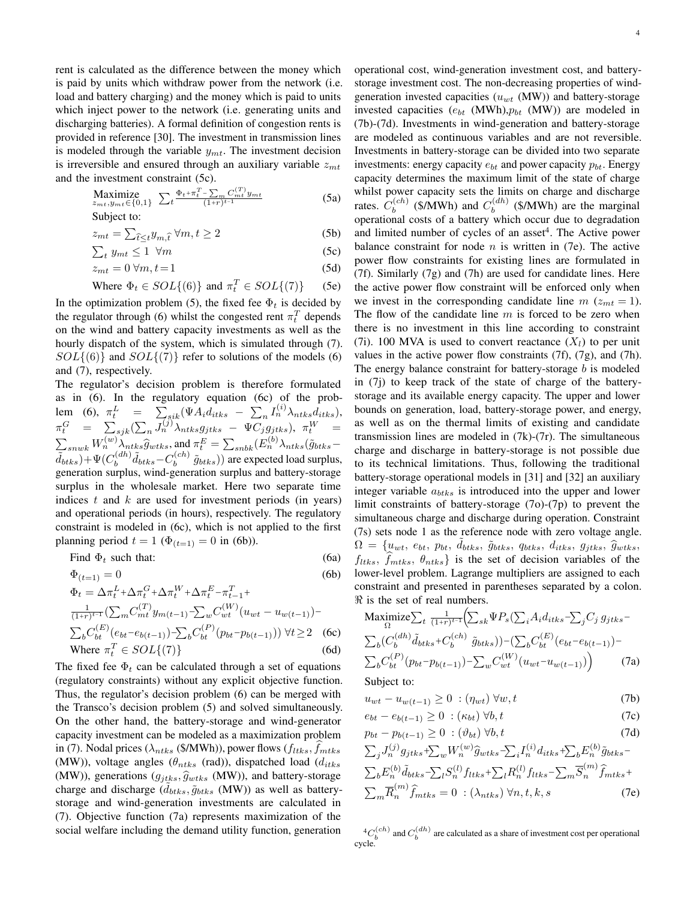rent is calculated as the difference between the money which is paid by units which withdraw power from the network (i.e. load and battery charging) and the money which is paid to units which inject power to the network (i.e. generating units and discharging batteries). A formal definition of congestion rents is provided in reference [30]. The investment in transmission lines is modeled through the variable  $y_{mt}$ . The investment decision is irreversible and ensured through an auxiliary variable  $z<sub>mt</sub>$ and the investment constraint (5c).

$$
\underset{z_{mt}, y_{mt} \in \{0, 1\}}{\text{Maximize}} \sum_{t} \frac{\Phi_{t} + \pi_{t}^{T} - \sum_{m} C_{mt}^{(T)} y_{mt}}{(1+r)^{t-1}} \tag{5a}
$$

Subject to:

$$
z_{mt} = \sum_{\hat{t} \le t} y_{m,\hat{t}} \,\forall m, t \ge 2 \tag{5b}
$$

$$
\sum_{t} y_{mt} \le 1 \ \forall m \tag{5c}
$$

$$
z_{mt} = 0 \,\forall m, t = 1 \tag{5d}
$$

Where 
$$
\Phi_t \in SOL\{(6)\}
$$
 and  $\pi_t^T \in SOL\{(7)\}$  (5e)

In the optimization problem (5), the fixed fee  $\Phi_t$  is decided by the regulator through (6) whilst the congested rent  $\pi_t^T$  depends on the wind and battery capacity investments as well as the hourly dispatch of the system, which is simulated through (7).  $SOL\{(6)\}$  and  $SOL\{(7)\}$  refer to solutions of the models (6) and (7), respectively.

The regulator's decision problem is therefore formulated as in (6). In the regulatory equation (6c) of the problem (6),  $\pi_t^L$  =  $\sum_{sik} (\Psi A_i d_{itks} - \sum_n I_n^{(i)} \lambda_{ntks} d_{itks})$ ,  $\pi^G_t$  =  $\sum_{sjk}(\sum_n J^{(j)}_n \lambda_{ntks} g_{jtks}\ -\ \Psi C_j g_{jtks}), \ \pi^W_t$  =  $\sum_{\tilde{J}}_{snwk} W_n^{(w)} \lambda_{ntks} \hat{g}_{wtks}$ , and  $\pi_t^E = \sum_{snbk} (E_n^{(b)} \lambda_{ntks} \tilde{g}_{btks} - E_n^{(c)} \lambda_{ntks} \tilde{g}_{mtks}$  $\tilde{d}_{btks}$ )+ $\Psi(C_b^{(dh)}$  $\tilde{d}_{b}^{(dh)}\tilde{d}_{btks}-C_{b}^{(ch)}$  $\delta_b^{(cn)}$   $\tilde{g}_{btks}$ )) are expected load surplus, generation surplus, wind-generation surplus and battery-storage surplus in the wholesale market. Here two separate time indices  $t$  and  $k$  are used for investment periods (in years) and operational periods (in hours), respectively. The regulatory constraint is modeled in (6c), which is not applied to the first planning period  $t = 1$  ( $\Phi_{(t=1)} = 0$  in (6b)).

Find 
$$
\Phi_t
$$
 such that:  $(6a)$ 

$$
\Phi_{(t=1)} = 0
$$
\n(6b)\n
$$
\Phi_t = \Delta \pi_t^L + \Delta \pi_t^G + \Delta \pi_t^W + \Delta \pi_t^E - \pi_{t-1}^T + \frac{1}{(1+r)^{t-1}} \left( \sum_m C_{mt}^{(T)} y_{m(t-1)} - \sum_w C_{wt}^{(W)} (u_{wt} - u_{w(t-1)}) - \sum_b C_{bt}^{(E)} (e_{bt} - e_{b(t-1)}) - \sum_b C_{bt}^{(P)} (p_{bt} - p_{b(t-1)})) \ \forall t \ge 2
$$
\n(6c)\nWhere  $\pi_t^T \in SOL\{(7)\}$ \n(6d)

The fixed fee  $\Phi_t$  can be calculated through a set of equations (regulatory constraints) without any explicit objective function. Thus, the regulator's decision problem (6) can be merged with the Transco's decision problem (5) and solved simultaneously. On the other hand, the battery-storage and wind-generator capacity investment can be modeled as a maximization problem in (7). Nodal prices ( $\lambda_{ntks}$  (\$/MWh)), power flows ( $f_{ltks}$ ,  $f_{mtks}$ (MW)), voltage angles ( $\theta_{ntks}$  (rad)), dispatched load ( $d_{itks}$ (MW)), generations ( $g_{itks}$ ,  $\hat{g}_{wtks}$  (MW)), and battery-storage charge and discharge  $(d_{btks}, \tilde{g}_{btks}$  (MW)) as well as batterystorage and wind-generation investments are calculated in (7). Objective function (7a) represents maximization of the social welfare including the demand utility function, generation

operational cost, wind-generation investment cost, and batterystorage investment cost. The non-decreasing properties of windgeneration invested capacities ( $u_{wt}$  (MW)) and battery-storage invested capacities ( $e_{bt}$  (MWh), $p_{bt}$  (MW)) are modeled in (7b)-(7d). Investments in wind-generation and battery-storage are modeled as continuous variables and are not reversible. Investments in battery-storage can be divided into two separate investments: energy capacity  $e_{bt}$  and power capacity  $p_{bt}$ . Energy capacity determines the maximum limit of the state of charge whilst power capacity sets the limits on charge and discharge rates.  $C_b^{(ch)}$  $b_b^{(ch)}$  (\$/MWh) and  $C_b^{(dh)}$  $b^{(an)}$  (\$/MWh) are the marginal operational costs of a battery which occur due to degradation and limited number of cycles of an asset<sup>4</sup>. The Active power balance constraint for node  $n$  is written in (7e). The active power flow constraints for existing lines are formulated in (7f). Similarly (7g) and (7h) are used for candidate lines. Here the active power flow constraint will be enforced only when we invest in the corresponding candidate line  $m(z_{mt} = 1)$ . The flow of the candidate line  $m$  is forced to be zero when there is no investment in this line according to constraint (7i). 100 MVA is used to convert reactance  $(X_l)$  to per unit values in the active power flow constraints (7f), (7g), and (7h). The energy balance constraint for battery-storage  $b$  is modeled in (7j) to keep track of the state of charge of the batterystorage and its available energy capacity. The upper and lower bounds on generation, load, battery-storage power, and energy, as well as on the thermal limits of existing and candidate transmission lines are modeled in (7k)-(7r). The simultaneous charge and discharge in battery-storage is not possible due to its technical limitations. Thus, following the traditional battery-storage operational models in [31] and [32] an auxiliary integer variable  $a_{btks}$  is introduced into the upper and lower limit constraints of battery-storage (7o)-(7p) to prevent the simultaneous charge and discharge during operation. Constraint (7s) sets node 1 as the reference node with zero voltage angle.  $\Omega = \{u_{wt}, e_{bt}, p_{bt}, \tilde{d}_{btks}, \tilde{g}_{btks}, d_{itks}, d_{itks}, g_{jtks}, \tilde{g}_{wtks}\}$  $f_{ltks}, f_{mtks}, \theta_{ntks}$  is the set of decision variables of the lower-level problem. Lagrange multipliers are assigned to each constraint and presented in parentheses separated by a colon.  $\Re$  is the set of real numbers.

$$
\begin{aligned}\n\text{Maximize} & \sum_{t} \frac{1}{(1+r)^{t-1}} \Big( \sum_{sk} \Psi P_s \big( \sum_{i} A_i d_{itks} - \sum_{j} C_j g_{jtks} - \sum_{b} C_b' d_{itks} \Big) \Big) \\
& = \sum_{b} \big( C_b^{(dh)} \tilde{d}_{btks} + C_b^{(ch)} \tilde{g}_{btks} \big) \big) - \big( \sum_{b} C_{bt}^{(E)} \big( e_{bt} - e_{b(t-1)} \big) - \sum_{b} C_{bt}^{(P)} \big( p_{bt} - p_{b(t-1)} \big) - \sum_{w} C_{wt}^{(W)} \big( u_{wt} - u_{w(t-1)} \big) \big) \\
& \quad (7a)\n\end{aligned}
$$

Subject to:

$$
u_{wt} - u_{w(t-1)} \ge 0 \quad (\eta_{wt}) \,\forall w, t \tag{7b}
$$

$$
e_{bt} - e_{b(t-1)} \ge 0 \quad (\kappa_{bt}) \ \forall b, t \tag{7c}
$$

$$
p_{bt} - p_{b(t-1)} \ge 0 \quad (\partial_{bt}) \forall b, t \tag{7d}
$$

$$
\sum_{j} J_n^{(j)} g_{jtks} + \sum_{w} W_n^{(w)} \hat{g}_{wtks} - \sum_{i} I_n^{(i)} d_{itks} + \sum_{b} E_n^{(b)} \tilde{g}_{btks} -
$$

$$
\sum_{b} E_n^{(b)} \tilde{d}_{btks} - \sum_{l} S_n^{(l)} f_{itks} + \sum_{l} R_n^{(l)} f_{itks} - \sum_{m} \overline{S}_n^{(m)} \hat{f}_{mtks} +
$$

$$
\sum_{m} \overline{R}_n^{(m)} \hat{f}_{mtks} = 0 \quad (\lambda_{ntks}) \forall n, t, k, s
$$
(7e)

 ${}^{4}C_{b}^{(ch)}$  and  $C_{b}^{(dh)}$  are calculated as a share of investment cost per operational cycle.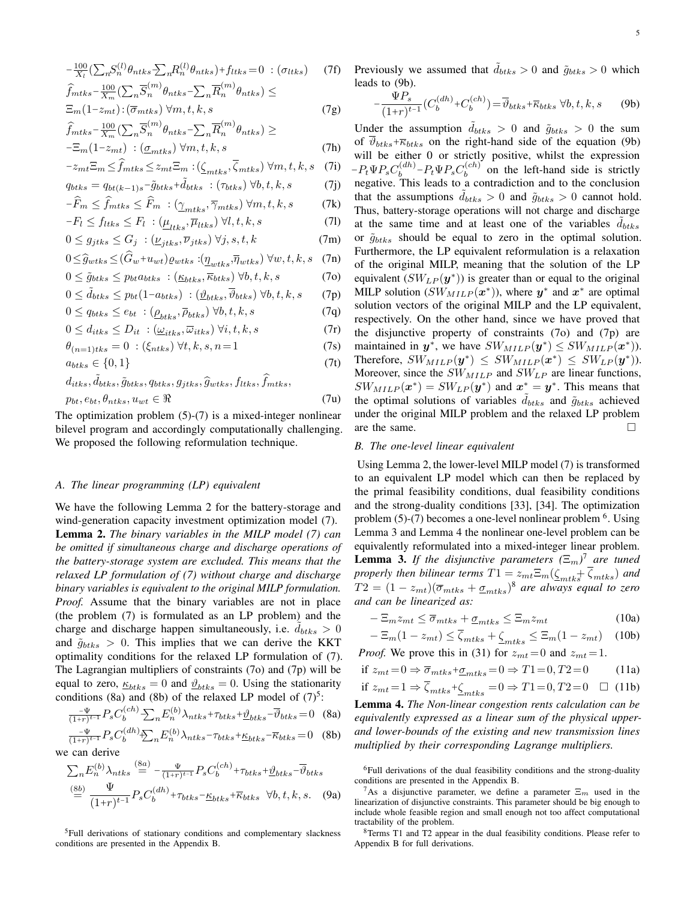$$
-\frac{100}{X_l} \left( \sum_n S_n^{(l)} \theta_{ntks} \sum_n R_n^{(l)} \theta_{ntks} \right) + f_{ltks} = 0 \quad (\sigma_{ltks}) \tag{7f}
$$
\n
$$
\hat{f}_{mtks} - \frac{100}{X_m} \left( \sum_n \overline{S}_n^{(m)} \theta_{ntks} - \sum_n \overline{R}_n^{(m)} \theta_{ntks} \right) \le
$$
\n
$$
\Xi_m (1 - z_{mt}) \cdot (\overline{\sigma}_{mtks}) \ \forall m, t, k, s \tag{7g}
$$

$$
\widehat{f}_{mtks} - \frac{100}{X_m} \left( \sum_n \overline{S}_n^{(m)} \theta_{ntks} - \sum_n \overline{R}_n^{(m)} \theta_{ntks} \right) \ge -\Xi_m (1 - z_{mt}) \; : \; (\underline{\sigma}_{mtks}) \; \forall m, t, k, s \tag{7h}
$$

$$
-z_{mt}\Xi_m \le \widehat{f}_{mtks} \le z_{mt}\Xi_m : (\underline{\zeta}_{mtks}, \overline{\zeta}_{mtks}) \,\forall m, t, k, s \quad (7i)
$$

$$
q_{btks} = q_{bt(k-1)s} - \tilde{g}_{btks} + \tilde{d}_{btks} : (\tau_{btks}) \,\forall b, t, k, s \tag{7}
$$

$$
-\overline{F}_m \le f_{mtks} \le \overline{F}_m : (\underline{\gamma}_{mtks}, \overline{\gamma}_{mtks}) \,\forall m, t, k, s \tag{7k}
$$

$$
-F_l \le f_{ltks} \le F_l \; : (\underline{\mu}_{ltks}, \overline{\mu}_{ltks}) \; \forall l, t, k, s \tag{71}
$$

$$
0 \le g_{jtks} \le G_j \; : (\underline{\nu}_{jtks}, \overline{\nu}_{jtks}) \; \forall j, s, t, k \tag{7m}
$$

$$
0 \leq \widehat{g}_{wtks} \leq (G_w + u_{wt}) \varrho_{wtks} \cdot (\underline{\eta}_{wtks}, \overline{\eta}_{wtks}) \,\forall w, t, k, s \quad (7n)
$$

$$
0 \leq \tilde{g}_{btks} \leq p_{bt}a_{btks} : (\underline{\kappa}_{btks}, \overline{\kappa}_{btks}) \,\forall b, t, k, s \tag{70}
$$

$$
0 \leq \tilde{d}_{btks} \leq p_{bt}(1 - a_{btks}) \; : \; (\underline{\vartheta}_{btks}, \overline{\vartheta}_{btks}) \; \forall b, t, k, s \qquad (7p)
$$

$$
0 \le q_{btks} \le e_{bt} : (\underline{\rho}_{btks}, \overline{\rho}_{btks}) \,\forall b, t, k, s \tag{7q}
$$

$$
0 \le d_{itks} \le D_{it} : (\underline{\omega}_{itks}, \overline{\omega}_{itks}) \,\forall i, t, k, s \tag{7r}
$$

$$
\theta_{(n=1)tks} = 0 \; : (\xi_{ntks}) \; \forall t, k, s, n = 1 \tag{7s}
$$

$$
a_{btks} \in \{0, 1\} \tag{7t}
$$

$$
d_{itks}, \tilde{d}_{btks}, \tilde{g}_{btks}, q_{btks}, g_{jtks}, \tilde{g}_{wtks}, f_{itks}, \tilde{f}_{mtks},
$$
  

$$
p_{bt}, e_{bt}, \theta_{ntks}, u_{wt} \in \Re
$$
 (7u)

The optimization problem  $(5)-(7)$  is a mixed-integer nonlinear bilevel program and accordingly computationally challenging. We proposed the following reformulation technique.

#### *A. The linear programming (LP) equivalent*

We have the following Lemma 2 for the battery-storage and wind-generation capacity investment optimization model (7). Lemma 2. *The binary variables in the MILP model (7) can be omitted if simultaneous charge and discharge operations of the battery-storage system are excluded. This means that the relaxed LP formulation of (7) without charge and discharge binary variables is equivalent to the original MILP formulation. Proof.* Assume that the binary variables are not in place (the problem (7) is formulated as an LP problem) and the charge and discharge happen simultaneously, i.e.  $\ddot{d}_{btks} > 0$ and  $\tilde{g}_{btks} > 0$ . This implies that we can derive the KKT optimality conditions for the relaxed LP formulation of (7). The Lagrangian multipliers of constraints (7o) and (7p) will be equal to zero,  $\underline{\kappa}_{btks} = 0$  and  $\underline{\vartheta}_{btks} = 0$ . Using the stationarity conditions (8a) and (8b) of the relaxed LP model of  $(7)^5$ :

$$
\frac{-\Psi}{(1+r)^{t-1}} P_s C_b^{(ch)} \sum_n E_n^{(b)} \lambda_{ntks} + \tau_{btks} + \underline{\vartheta}_{btks} - \overline{\vartheta}_{btks} = 0
$$
 (8a)

$$
\frac{-\Psi}{(1+r)^{t-1}} P_s C_b^{(dh)} \sum_n E_n^{(b)} \lambda_{ntks} - \tau_{btks} + \underline{\kappa}_{btks} - \overline{\kappa}_{btks} = 0 \quad (8b)
$$
\nwe can derive

$$
\sum_{n} E_{n}^{(b)} \lambda_{ntks} \stackrel{\text{(8a)}}{=} -\frac{\Psi}{(1+r)^{t-1}} P_{s} C_{b}^{(ch)} + \tau_{btks} + \mathcal{D}_{btks} - \overline{\mathcal{D}}_{btks}
$$
\n
$$
\stackrel{\text{(8b)}}{=} \frac{\Psi}{(1+r)^{t-1}} P_{s} C_{b}^{(dh)} + \tau_{btks} - \underline{\kappa}_{btks} + \overline{\kappa}_{btks} \quad \forall b, t, k, s. \quad \text{(9a)}
$$

<sup>5</sup>Full derivations of stationary conditions and complementary slackness conditions are presented in the Appendix B.

Previously we assumed that  $\tilde{d}_{btks} > 0$  and  $\tilde{g}_{btks} > 0$  which leads to (9b).

$$
-\frac{\Psi P_s}{(1+r)^{t-1}}(C_b^{(dh)} + C_b^{(ch)}) = \overline{\vartheta}_{btks} + \overline{\kappa}_{btks} \,\,\forall b, t, k, s \qquad (9b)
$$

Under the assumption  $d_{btks} > 0$  and  $\tilde{g}_{btks} > 0$  the sum of  $\overline{\vartheta}_{btks} + \overline{\kappa}_{btks}$  on the right-hand side of the equation (9b) will be either 0 or strictly positive, whilst the expression  $-P_t \Psi P_s C_b^{(dh)}$  $b^{(dh)}$  –  $P_t \Psi P_s C_b^{(ch)}$  $b_b^{(cn)}$  on the left-hand side is strictly negative. This leads to a contradiction and to the conclusion that the assumptions  $d_{btks} > 0$  and  $\tilde{g}_{btks} > 0$  cannot hold. Thus, battery-storage operations will not charge and discharge at the same time and at least one of the variables  $d_{btks}$ or  $\tilde{g}_{btks}$  should be equal to zero in the optimal solution. Furthermore, the LP equivalent reformulation is a relaxation of the original MILP, meaning that the solution of the LP equivalent  $(SW_{LP}(\boldsymbol{y}^*))$  is greater than or equal to the original MILP solution  $(SW_{MILP}(\boldsymbol{x}^*))$ , where  $\boldsymbol{y}^*$  and  $\boldsymbol{x}^*$  are optimal solution vectors of the original MILP and the LP equivalent, respectively. On the other hand, since we have proved that the disjunctive property of constraints (7o) and (7p) are maintained in  $y^*$ , we have  $SW_{MILP}(y^*) \leq SW_{MILP}(x^*)$ ). Therefore,  $SW_{MILP}(\boldsymbol{y}^*) \leq SW_{MILP}(\boldsymbol{x}^*) \leq SW_{LP}(\boldsymbol{y}^*)$ ). Moreover, since the  $SW_{MILP}$  and  $SW_{LP}$  are linear functions,  $SW_{MILP}(\boldsymbol{x}^*) = SW_{LP}(\boldsymbol{y}^*)$  and  $\boldsymbol{x}^* = \boldsymbol{y}^*$ . This means that the optimal solutions of variables  $d_{btks}$  and  $\tilde{g}_{btks}$  achieved under the original MILP problem and the relaxed LP problem are the same.  $\Box$ 

#### *B. The one-level linear equivalent*

Using Lemma 2, the lower-level MILP model (7) is transformed to an equivalent LP model which can then be replaced by the primal feasibility conditions, dual feasibility conditions and the strong-duality conditions [33], [34]. The optimization problem  $(5)-(7)$  becomes a one-level nonlinear problem  $<sup>6</sup>$ . Using</sup> Lemma 3 and Lemma 4 the nonlinear one-level problem can be equivalently reformulated into a mixed-integer linear problem. **Lemma 3.** If the disjunctive parameters  $(\Xi_m)^7$  are tuned *properly then bilinear terms*  $T1 = z_{mt} \Xi_m(\zeta_{mtks} + \overline{\zeta}_{mtks})$  *and*  $T2 = (1 - z_{mt})(\overline{\sigma}_{mtks} + \underline{\sigma}_{mtks})^8$  are always equal to zero *and can be linearized as:*

$$
-\Xi_m z_{mt} \le \overline{\sigma}_{mtks} + \underline{\sigma}_{mtks} \le \Xi_m z_{mt}
$$
\n(10a)

$$
-\Xi_m(1-z_{mt}) \le \zeta_{mtks} + \zeta_{mtks} \le \Xi_m(1-z_{mt}) \quad (10b)
$$
  
*Proof.* We prove this in (31) for  $z_{mt} = 0$  and  $z_{mt} = 1$ .

if 
$$
z_{mt} = 0 \Rightarrow \overline{\sigma}_{mtks} + \underline{\sigma}_{mtks} = 0 \Rightarrow T1 = 0, T2 = 0
$$
 (11a)

if 
$$
z_{mt} = 1 \Rightarrow \overline{\zeta}_{mtks} + \underline{\zeta}_{mtks} = 0 \Rightarrow T1 = 0, T2 = 0 \quad \Box
$$
 (11b)

Lemma 4. *The Non-linear congestion rents calculation can be equivalently expressed as a linear sum of the physical upperand lower-bounds of the existing and new transmission lines multiplied by their corresponding Lagrange multipliers.*

<sup>6</sup>Full derivations of the dual feasibility conditions and the strong-duality conditions are presented in the Appendix B.

<sup>8</sup>Terms T1 and T2 appear in the dual feasibility conditions. Please refer to Appendix B for full derivations.

<sup>&</sup>lt;sup>7</sup>As a disjunctive parameter, we define a parameter  $\Xi_m$  used in the linearization of disjunctive constraints. This parameter should be big enough to include whole feasible region and small enough not too affect computational tractability of the problem.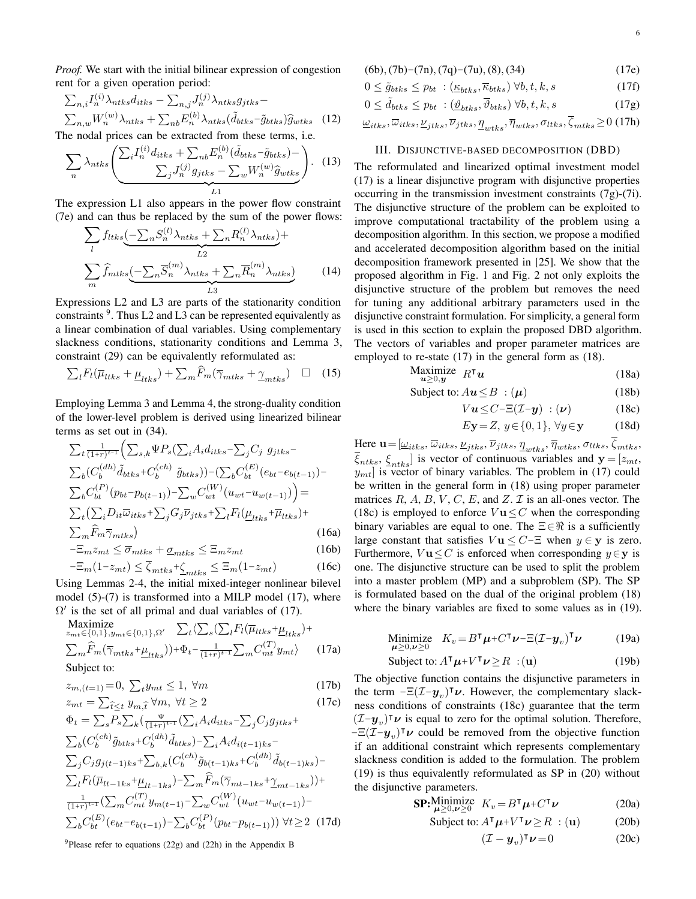*Proof.* We start with the initial bilinear expression of congestion rent for a given operation period:

$$
\sum_{n,i} I_n^{(i)} \lambda_{ntks} d_{itks} - \sum_{n,j} J_n^{(j)} \lambda_{ntks} g_{jtks} -
$$
\n
$$
\sum_{n,w} W_n^{(w)} \lambda_{ntks} + \sum_{nb} E_n^{(b)} \lambda_{ntks} (\tilde{d}_{btks} - \tilde{g}_{btks}) \hat{g}_{wtks}
$$
\n(12)

\nThe nodal prices can be extracted from these terms, i.e.

$$
\sum_{n} \lambda_{ntks} \left( \frac{\sum_{i} I_n^{(i)} d_{itks} + \sum_{nb} E_n^{(b)} (\tilde{d}_{btks} - \tilde{g}_{btks}) - \sum_{w} \lambda_{ntks}}{\sum_{j} J_n^{(j)} g_{jtks} - \sum_{w} W_n^{(w)} \hat{g}_{wtks}} \right). \tag{13}
$$

The expression L1 also appears in the power flow constraint (7e) and can thus be replaced by the sum of the power flows:

$$
\sum_{l} f_{ltks} \underbrace{(-\sum_{n} S_{n}^{(l)} \lambda_{ntks} + \sum_{n} R_{n}^{(l)} \lambda_{ntks})}_{L2} +
$$
\n
$$
\sum_{m} \widehat{f}_{mtks} \underbrace{(-\sum_{n} \overline{S}_{n}^{(m)} \lambda_{ntks} + \sum_{n} \overline{R}_{n}^{(m)} \lambda_{ntks})}_{L3}
$$
\n(14)

 $L<sub>1</sub>$ 

Expressions L2 and L3 are parts of the stationarity condition constraints  $9$ . Thus L2 and L3 can be represented equivalently as a linear combination of dual variables. Using complementary slackness conditions, stationarity conditions and Lemma 3, constraint (29) can be equivalently reformulated as:

$$
\sum_{l} F_{l}(\overline{\mu}_{ltks} + \underline{\mu}_{ltks}) + \sum_{m} \widehat{F}_{m}(\overline{\gamma}_{mtks} + \underline{\gamma}_{mtks}) \quad \Box \quad (15)
$$

Employing Lemma 3 and Lemma 4, the strong-duality condition of the lower-level problem is derived using linearized bilinear terms as set out in (34).

$$
\sum_{t} \frac{1}{(1+r)^{t-1}} \Big( \sum_{s,k} \Psi P_s \Big( \sum_i A_i d_{itks} - \sum_j C_j g_{jtks} - \sum_b C_j d_{itks} \Big) \Big) \Big( \sum_{b} C_{bt}^{(dh)} (e_{bt} - e_{b(t-1)}) - \sum_b C_{bt}^{(F)} (p_{bt} - p_{b(t-1)}) - \sum_w C_{wt}^{(W)} (u_{wt} - u_{w(t-1)}) \Big) = \sum_{t} \Big( \sum_i D_{it} \overline{\omega}_{itks} + \sum_j G_j \overline{\nu}_{jtks} + \sum_l F_l (\underline{\mu}_{ltks} + \overline{\mu}_{ltks}) + \sum_m \widehat{F}_m \overline{\gamma}_{mtks} \Big) \Big) \Big)
$$
\n
$$
- \overline{\Sigma}_m \widehat{F}_m \overline{\gamma}_{mtks} \Big) \Big( 16a \Big)
$$
\n
$$
- \overline{\Sigma}_m z_{mt} \leq \overline{\sigma}_{mtks} + \underline{\sigma}_{mtks} \leq \overline{\Xi}_m z_{mt} \Big) \Big( 16b \Big)
$$

$$
-\Xi_m(1-z_{mt}) \le \overline{\zeta}_{mtks} + \underline{\zeta}_{mtks} \le \Xi_m(1-z_{mt})
$$
 (16c)

Using Lemmas 2-4, the initial mixed-integer nonlinear bilevel model (5)-(7) is transformed into a MILP model (17), where  $\Omega'$  is the set of all primal and dual variables of (17).

$$
\begin{array}{ll}\n\text{Maximize} \\
 z_{mt} \in \{0, 1\}, y_{mt} \in \{0, 1\}, \Omega' \\
\sum_{t} \sum_{s} (\sum_{l} F_{l}(\overline{\mu}_{ltks} + \underline{\mu}_{ltks}) + \\
\sum_{m} \widehat{F}_{m}(\overline{\gamma}_{mtks} + \underline{\mu}_{ltks})) + \Phi_{t} - \frac{1}{(1+r)^{t-1}} \sum_{m} C_{mt}^{(T)} y_{mt} \rangle\n\end{array} (17a)
$$

Subject to:

$$
z_{m,(t=1)} = 0, \ \sum_{t} y_{mt} \le 1, \ \forall m \tag{17b}
$$

$$
z_{mt} = \sum_{\hat{t} \le t} y_{m,\hat{t}} \,\forall m, \,\forall t \ge 2 \tag{17c}
$$

$$
\Phi_t = \sum_s P_s \sum_k \left( \frac{\Psi}{(1+r)^{t-1}} \left( \sum_i A_i d_{itks} - \sum_j C_j g_{jtks} + \right) \right)
$$
\n
$$
\sum_b (C_b^{(ch)} \tilde{g}_{btks} + C_b^{(dh)} \tilde{d}_{btks}) - \sum_i A_i d_{i(t-1)ks} - \sum_j C_j g_{j(t-1)ks} + \sum_{b,k} (C_b^{(ch)} \tilde{g}_{b(t-1)ks} + C_b^{(dh)} \tilde{d}_{b(t-1)ks}) - \sum_l F_l (\overline{\mu}_{lt-1ks} + \underline{\mu}_{lt-1ks}) - \sum_m \widehat{F}_m (\overline{\gamma}_{mt-1ks} + \underline{\gamma}_{mt-1ks})) + \frac{1}{(1+r)^{t-1}} (\sum_m C_m^{(T)} y_m_{t-1}) - \sum_w C_w^{(W)} (u_{wt} - u_{wt} - 1)) - \sum_b C_{bt}^{(E)} (e_{bt} - e_{b(t-1)}) - \sum_b C_b^{(P)} (p_{bt} - p_{b(t-1)})) \ \forall t \ge 2 \tag{17d}
$$

<sup>9</sup>Please refer to equations (22g) and (22h) in the Appendix B

6

$$
(6b), (7b)-(7n), (7q)-(7u), (8), (34)
$$
 (17e)

$$
0 \leq \tilde{g}_{btks} \leq p_{bt} : (\underline{\kappa}_{btks}, \overline{\kappa}_{btks}) \,\forall b, t, k, s \tag{17f}
$$

$$
0 \leq \tilde{d}_{btks} \leq p_{bt} \; : (\underline{\vartheta}_{btks}, \overline{\vartheta}_{btks}) \; \forall b, t, k, s \tag{17g}
$$

$$
\underline{\omega}_{itks}, \overline{\omega}_{itks}, \underline{\nu}_{jtks}, \overline{\nu}_{jtks}, \underline{\eta}_{wtks}, \overline{\eta}_{wtks}, \sigma_{ltks}, \overline{\zeta}_{mtks} \ge 0 \text{ (17h)}
$$

#### III. DISJUNCTIVE-BASED DECOMPOSITION (DBD)

The reformulated and linearized optimal investment model (17) is a linear disjunctive program with disjunctive properties occurring in the transmission investment constraints (7g)-(7i). The disjunctive structure of the problem can be exploited to improve computational tractability of the problem using a decomposition algorithm. In this section, we propose a modified and accelerated decomposition algorithm based on the initial decomposition framework presented in [25]. We show that the proposed algorithm in Fig. 1 and Fig. 2 not only exploits the disjunctive structure of the problem but removes the need for tuning any additional arbitrary parameters used in the disjunctive constraint formulation. For simplicity, a general form is used in this section to explain the proposed DBD algorithm. The vectors of variables and proper parameter matrices are employed to re-state (17) in the general form as (18).

$$
\begin{array}{ll}\n\text{Maximize} & R^\intercal \boldsymbol{u} \\
\mathbf{u} \geq 0, \boldsymbol{y}\n\end{array} \tag{18a}
$$

$$
Subject to: Au \leq B : (\mu) \tag{18b}
$$

$$
Vu \leq C - \Xi(\mathcal{I} - y) : (\nu) \tag{18c}
$$

$$
E\mathbf{y} = Z, y \in \{0, 1\}, \forall y \in \mathbf{y} \tag{18d}
$$

Here  $\mathbf{u} = [\underline{\omega}_{itks}, \overline{\omega}_{itks}, \underline{\nu}_{jtks}, \overline{\nu}_{jtks}, \underline{\eta}_{wtks}, \overline{\eta}_{wtks}, \sigma_{ltks}, \zeta_{mtks},$  $\{\xi_{ntks}, \xi_{ntks}\}$  is vector of continuous variables and  $\mathbf{y} = [z_{mt}, z_{ntks}]$  $y_{mt}$  is vector of binary variables. The problem in (17) could be written in the general form in (18) using proper parameter matrices  $R$ ,  $A$ ,  $B$ ,  $V$ ,  $C$ ,  $E$ , and  $Z$ .  $\mathcal I$  is an all-ones vector. The (18c) is employed to enforce  $V\mathbf{u} \leq C$  when the corresponding binary variables are equal to one. The  $\Xi \in \mathbb{R}$  is a sufficiently large constant that satisfies  $V\mathbf{u} \leq C$ - $\Xi$  when  $y \in \mathbf{y}$  is zero. Furthermore,  $V$ **u** $\leq$ *C* is enforced when corresponding  $y \in$ **y** is one. The disjunctive structure can be used to split the problem into a master problem (MP) and a subproblem (SP). The SP is formulated based on the dual of the original problem (18) where the binary variables are fixed to some values as in (19).

Minimize 
$$
K_v = B^{\mathsf{T}} \mu + C^{\mathsf{T}} \nu - \Xi (I - y_v)^{\mathsf{T}} \nu
$$
 (19a)

$$
Subject to: A^{\mathsf{T}} \mu + V^{\mathsf{T}} \nu \ge R : (\mathbf{u}) \tag{19b}
$$

The objective function contains the disjunctive parameters in the term  $-\Xi(\mathcal{I}-y_v)^{\dagger}\nu$ . However, the complementary slackness conditions of constraints (18c) guarantee that the term  $(T-y_v)^\mathsf{T} \nu$  is equal to zero for the optimal solution. Therefore,  $-\Xi(\tilde{\mathcal{I}}-\mathcal{Y}_v)^{\mathsf{T}}\boldsymbol{\nu}$  could be removed from the objective function if an additional constraint which represents complementary slackness condition is added to the formulation. The problem (19) is thus equivalently reformulated as SP in (20) without the disjunctive parameters.

$$
\mathbf{SP:} \underset{\boldsymbol{\mu} \ge 0, \boldsymbol{\nu} \ge 0}{\text{Minimize}} \quad K_v = B^\mathsf{T} \boldsymbol{\mu} + C^\mathsf{T} \boldsymbol{\nu} \tag{20a}
$$

$$
Subject to: A^{\mathsf{T}} \mu + V^{\mathsf{T}} \nu \ge R : (\mathbf{u}) \tag{20b}
$$

$$
(\mathcal{I} - \boldsymbol{y}_v)^\mathsf{T} \boldsymbol{\nu} = 0 \tag{20c}
$$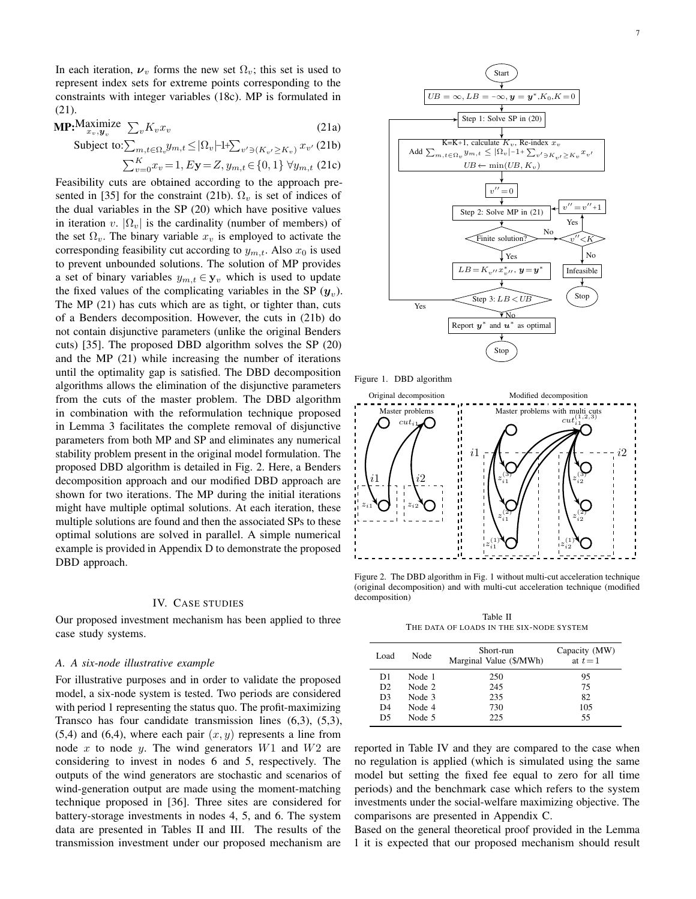In each iteration,  $v_v$  forms the new set  $\Omega_v$ ; this set is used to represent index sets for extreme points corresponding to the constraints with integer variables (18c). MP is formulated in (21).

$$
\mathbf{MP:}^{\mathbf{Maximize}}_{x_v, y_v} \sum_{v} K_v x_v \tag{21a}
$$

Subject to: 
$$
\sum_{m,t \in \Omega_v} y_{m,t} \le |\Omega_v| 1 + \sum_{v' \ni (K_{v'} \ge K_v)} x_{v'} (21b)
$$
  
 $\sum_{v=0}^K x_v = 1, E\mathbf{y} = Z, y_{m,t} \in \{0, 1\} \ \forall y_{m,t}$  (21c)

Feasibility cuts are obtained according to the approach presented in [35] for the constraint (21b).  $\Omega$ <sub>v</sub> is set of indices of the dual variables in the SP (20) which have positive values in iteration v.  $|\Omega_v|$  is the cardinality (number of members) of the set  $\Omega_v$ . The binary variable  $x_v$  is employed to activate the corresponding feasibility cut according to  $y_{m,t}$ . Also  $x_0$  is used to prevent unbounded solutions. The solution of MP provides a set of binary variables  $y_{m,t} \in y_v$  which is used to update the fixed values of the complicating variables in the SP  $(y_v)$ . The MP (21) has cuts which are as tight, or tighter than, cuts of a Benders decomposition. However, the cuts in (21b) do not contain disjunctive parameters (unlike the original Benders cuts) [35]. The proposed DBD algorithm solves the SP (20) and the MP (21) while increasing the number of iterations until the optimality gap is satisfied. The DBD decomposition algorithms allows the elimination of the disjunctive parameters from the cuts of the master problem. The DBD algorithm in combination with the reformulation technique proposed in Lemma 3 facilitates the complete removal of disjunctive parameters from both MP and SP and eliminates any numerical stability problem present in the original model formulation. The proposed DBD algorithm is detailed in Fig. 2. Here, a Benders decomposition approach and our modified DBD approach are shown for two iterations. The MP during the initial iterations might have multiple optimal solutions. At each iteration, these multiple solutions are found and then the associated SPs to these optimal solutions are solved in parallel. A simple numerical example is provided in Appendix D to demonstrate the proposed DBD approach.

#### IV. CASE STUDIES

Our proposed investment mechanism has been applied to three case study systems.

#### *A. A six-node illustrative example*

For illustrative purposes and in order to validate the proposed model, a six-node system is tested. Two periods are considered with period 1 representing the status quo. The profit-maximizing Transco has four candidate transmission lines (6,3), (5,3),  $(5,4)$  and  $(6,4)$ , where each pair  $(x, y)$  represents a line from node x to node y. The wind generators  $W1$  and  $W2$  are considering to invest in nodes 6 and 5, respectively. The outputs of the wind generators are stochastic and scenarios of wind-generation output are made using the moment-matching technique proposed in [36]. Three sites are considered for battery-storage investments in nodes 4, 5, and 6. The system data are presented in Tables II and III. The results of the transmission investment under our proposed mechanism are



Figure 1. DBD algorithm



Figure 2. The DBD algorithm in Fig. 1 without multi-cut acceleration technique (original decomposition) and with multi-cut acceleration technique (modified decomposition)

Table II THE DATA OF LOADS IN THE SIX-NODE SYSTEM

| Load           | Node   | Short-run<br>Marginal Value (\$/MWh) | Capacity (MW)<br>at $t=1$ |
|----------------|--------|--------------------------------------|---------------------------|
| D1             | Node 1 | 250                                  | 95                        |
| D <sub>2</sub> | Node 2 | 245                                  | 75                        |
| D <sub>3</sub> | Node 3 | 235                                  | 82                        |
| D <sub>4</sub> | Node 4 | 730                                  | 105                       |
| D5             | Node 5 | 225                                  | 55                        |

reported in Table IV and they are compared to the case when no regulation is applied (which is simulated using the same model but setting the fixed fee equal to zero for all time periods) and the benchmark case which refers to the system investments under the social-welfare maximizing objective. The comparisons are presented in Appendix C.

Based on the general theoretical proof provided in the Lemma 1 it is expected that our proposed mechanism should result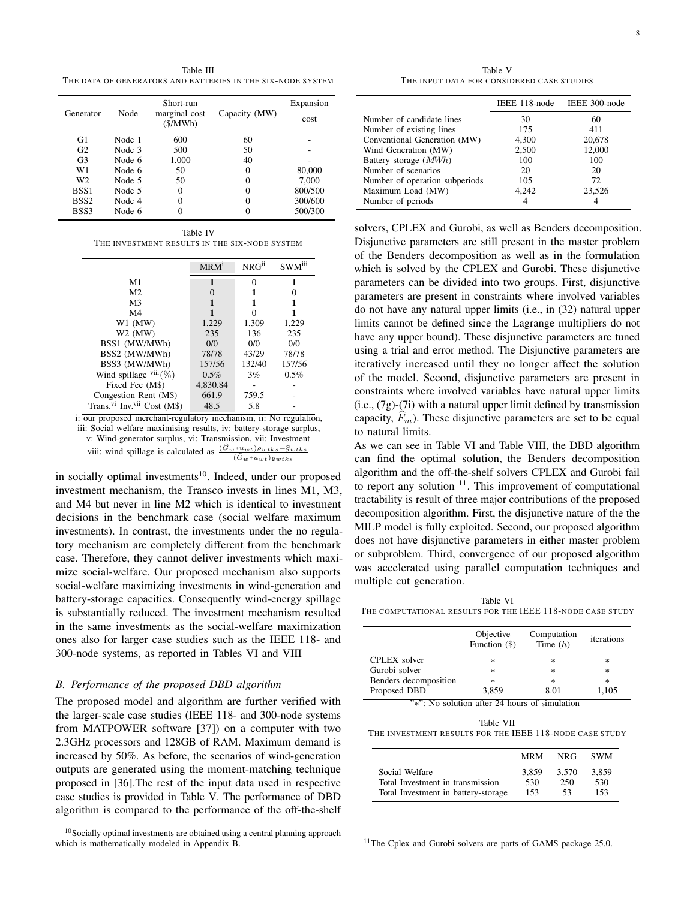Table III THE DATA OF GENERATORS AND BATTERIES IN THE SIX-NODE SYSTEM

| Generator        | Node   | Short-run<br>marginal cost<br>(S/MWh) | Capacity (MW) | Expansion<br>cost |
|------------------|--------|---------------------------------------|---------------|-------------------|
| G1               | Node 1 | 600                                   | 60            |                   |
| G <sub>2</sub>   | Node 3 | 500                                   | 50            |                   |
| G <sub>3</sub>   | Node 6 | 1,000                                 | 40            |                   |
| W1               | Node 6 | 50                                    | 0             | 80,000            |
| W <sub>2</sub>   | Node 5 | 50                                    | 0             | 7,000             |
| BSS <sub>1</sub> | Node 5 | 0                                     |               | 800/500           |
| BSS <sub>2</sub> | Node 4 | 0                                     |               | 300/600           |
| BSS3             | Node 6 | 0                                     |               | 500/300           |

Table IV THE INVESTMENT RESULTS IN THE SIX-NODE SYSTEM

|                                                     | MRM <sup>1</sup> | $NRG^{ii}$ | SWM <sup>iii</sup> |
|-----------------------------------------------------|------------------|------------|--------------------|
| M <sub>1</sub>                                      | 1                | $\Omega$   | 1                  |
| M <sub>2</sub>                                      |                  |            | 0                  |
| M <sub>3</sub>                                      |                  |            |                    |
| M <sub>4</sub>                                      |                  | ∩          |                    |
| $W1$ (MW)                                           | 1,229            | 1,309      | 1,229              |
| $W2$ (MW)                                           | 235              | 136        | 235                |
| BSS1 (MW/MWh)                                       | 0/0              | 0/0        | 0/0                |
| BSS2 (MW/MWh)                                       | 78/78            | 43/29      | 78/78              |
| BSS3 (MW/MWh)                                       | 157/56           | 132/40     | 157/56             |
| Wind spillage $viii(\%)$                            | 0.5%             | 3%         | 0.5%               |
| Fixed Fee (M\$)                                     | 4,830.84         |            |                    |
| Congestion Rent (M\$)                               | 661.9            | 759.5      |                    |
| Trans. <sup>vi</sup> Inv. <sup>vii</sup> Cost (M\$) | 48.5             | 5.8        |                    |

i: our proposed merchant-regulatory mechanism, ii: No regulation, iii: Social welfare maximising results, iv: battery-storage surplus, v: Wind-generator surplus, vi: Transmission, vii: Investment viii: wind spillage is calculated as  $\frac{(\widehat{G}_w+uwt)e_{wtks}-\widehat{g}_{wtks}}{(\widehat{G}_w+uwt)e_{wtks}}$  $(\widehat{G}_w+u_{wt})\varrho_{wtks}$ 

in socially optimal investments $10$ . Indeed, under our proposed investment mechanism, the Transco invests in lines M1, M3, and M4 but never in line M2 which is identical to investment decisions in the benchmark case (social welfare maximum investments). In contrast, the investments under the no regulatory mechanism are completely different from the benchmark case. Therefore, they cannot deliver investments which maximize social-welfare. Our proposed mechanism also supports social-welfare maximizing investments in wind-generation and battery-storage capacities. Consequently wind-energy spillage is substantially reduced. The investment mechanism resulted in the same investments as the social-welfare maximization ones also for larger case studies such as the IEEE 118- and 300-node systems, as reported in Tables VI and VIII

#### *B. Performance of the proposed DBD algorithm*

The proposed model and algorithm are further verified with the larger-scale case studies (IEEE 118- and 300-node systems from MATPOWER software [37]) on a computer with two 2.3GHz processors and 128GB of RAM. Maximum demand is increased by 50%. As before, the scenarios of wind-generation outputs are generated using the moment-matching technique proposed in [36].The rest of the input data used in respective case studies is provided in Table V. The performance of DBD algorithm is compared to the performance of the off-the-shelf

Table V THE INPUT DATA FOR CONSIDERED CASE STUDIES

|                                | IEEE 118-node | IEEE 300-node |
|--------------------------------|---------------|---------------|
| Number of candidate lines      | 30            | 60            |
| Number of existing lines       | 175           | 411           |
| Conventional Generation (MW)   | 4,300         | 20,678        |
| Wind Generation (MW)           | 2,500         | 12,000        |
| Battery storage (MWh)          | 100           | 100           |
| Number of scenarios            | 20            | 20            |
| Number of operation subperiods | 105           | 72            |
| Maximum Load (MW)              | 4.242         | 23,526        |
| Number of periods              |               | 4             |

solvers, CPLEX and Gurobi, as well as Benders decomposition. Disjunctive parameters are still present in the master problem of the Benders decomposition as well as in the formulation which is solved by the CPLEX and Gurobi. These disjunctive parameters can be divided into two groups. First, disjunctive parameters are present in constraints where involved variables do not have any natural upper limits (i.e., in (32) natural upper limits cannot be defined since the Lagrange multipliers do not have any upper bound). These disjunctive parameters are tuned using a trial and error method. The Disjunctive parameters are iteratively increased until they no longer affect the solution of the model. Second, disjunctive parameters are present in constraints where involved variables have natural upper limits (i.e., (7g)-(7i) with a natural upper limit defined by transmission capacity,  $F_m$ ). These disjunctive parameters are set to be equal to natural limits.

As we can see in Table VI and Table VIII, the DBD algorithm can find the optimal solution, the Benders decomposition algorithm and the off-the-shelf solvers CPLEX and Gurobi fail to report any solution  $11$ . This improvement of computational tractability is result of three major contributions of the proposed decomposition algorithm. First, the disjunctive nature of the the MILP model is fully exploited. Second, our proposed algorithm does not have disjunctive parameters in either master problem or subproblem. Third, convergence of our proposed algorithm was accelerated using parallel computation techniques and multiple cut generation.

Table VI THE COMPUTATIONAL RESULTS FOR THE IEEE 118-NODE CASE STUDY

| Objective<br>Function (\$) | Computation<br>Time $(h)$ | iterations                                                                                                                                                                                                                                                                                                                      |
|----------------------------|---------------------------|---------------------------------------------------------------------------------------------------------------------------------------------------------------------------------------------------------------------------------------------------------------------------------------------------------------------------------|
| $\ast$                     | $\ast$                    | $\ast$                                                                                                                                                                                                                                                                                                                          |
| $\ast$                     | $\ast$                    | $\ast$                                                                                                                                                                                                                                                                                                                          |
| $\ast$                     | $\ast$                    | $\ast$                                                                                                                                                                                                                                                                                                                          |
| 3,859                      | 8.01                      | 1,105                                                                                                                                                                                                                                                                                                                           |
|                            |                           | $\frac{1}{2}$ , $\frac{1}{2}$ , $\frac{1}{2}$ , $\frac{1}{2}$ , $\frac{1}{2}$ , $\frac{1}{2}$ , $\frac{1}{2}$ , $\frac{1}{2}$ , $\frac{1}{2}$ , $\frac{1}{2}$ , $\frac{1}{2}$ , $\frac{1}{2}$ , $\frac{1}{2}$ , $\frac{1}{2}$ , $\frac{1}{2}$ , $\frac{1}{2}$ , $\frac{1}{2}$ , $\frac{1}{2}$ , $\frac{1}{2}$ , $\frac{1}{2}$ , |

"∗": No solution after 24 hours of simulation

Table VII THE INVESTMENT RESULTS FOR THE IEEE 118-NODE CASE STUDY

|                                     | <b>MRM</b> | NRG.  | <b>SWM</b> |
|-------------------------------------|------------|-------|------------|
| Social Welfare                      | 3.859      | 3.570 | 3.859      |
| Total Investment in transmission    | 530        | 250   | 530        |
| Total Investment in battery-storage | 153        | 53    | 153        |

<sup>11</sup>The Cplex and Gurobi solvers are parts of GAMS package 25.0.

<sup>&</sup>lt;sup>10</sup>Socially optimal investments are obtained using a central planning approach which is mathematically modeled in Appendix B.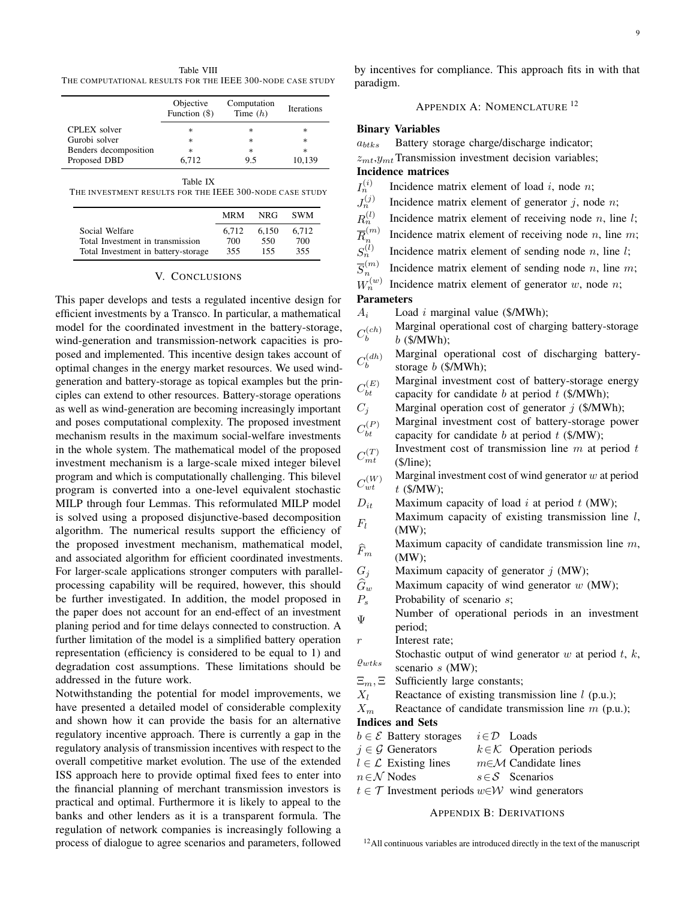Table VIII THE COMPUTATIONAL RESULTS FOR THE IEEE 300-NODE CASE STUDY

|                       | Objective<br>Function $(\$)$ | Computation<br>Time $(h)$ | <b>Iterations</b> |
|-----------------------|------------------------------|---------------------------|-------------------|
| CPLEX solver          | $\ast$                       | $\ast$                    | $\ast$            |
| Gurobi solver         | $\ast$                       | $\ast$                    | $\ast$            |
| Benders decomposition | $\ast$                       | $\ast$                    | $\ast$            |
| Proposed DBD          | 6,712                        | 9.5                       | 10,139            |

Table IX

THE INVESTMENT RESULTS FOR THE IEEE 300-NODE CASE STUDY

|                                     | <b>MRM</b> | NRG.  | <b>SWM</b> |
|-------------------------------------|------------|-------|------------|
| Social Welfare                      | 6.712      | 6.150 | 6.712      |
| Total Investment in transmission    | 700        | 550   | 700        |
| Total Investment in battery-storage | 355        | 155   | 355        |

#### V. CONCLUSIONS

This paper develops and tests a regulated incentive design for efficient investments by a Transco. In particular, a mathematical model for the coordinated investment in the battery-storage, wind-generation and transmission-network capacities is proposed and implemented. This incentive design takes account of optimal changes in the energy market resources. We used windgeneration and battery-storage as topical examples but the principles can extend to other resources. Battery-storage operations as well as wind-generation are becoming increasingly important and poses computational complexity. The proposed investment mechanism results in the maximum social-welfare investments in the whole system. The mathematical model of the proposed investment mechanism is a large-scale mixed integer bilevel program and which is computationally challenging. This bilevel program is converted into a one-level equivalent stochastic MILP through four Lemmas. This reformulated MILP model is solved using a proposed disjunctive-based decomposition algorithm. The numerical results support the efficiency of the proposed investment mechanism, mathematical model, and associated algorithm for efficient coordinated investments. For larger-scale applications stronger computers with parallelprocessing capability will be required, however, this should be further investigated. In addition, the model proposed in the paper does not account for an end-effect of an investment planing period and for time delays connected to construction. A further limitation of the model is a simplified battery operation representation (efficiency is considered to be equal to 1) and degradation cost assumptions. These limitations should be addressed in the future work.

Notwithstanding the potential for model improvements, we have presented a detailed model of considerable complexity and shown how it can provide the basis for an alternative regulatory incentive approach. There is currently a gap in the regulatory analysis of transmission incentives with respect to the overall competitive market evolution. The use of the extended ISS approach here to provide optimal fixed fees to enter into the financial planning of merchant transmission investors is practical and optimal. Furthermore it is likely to appeal to the banks and other lenders as it is a transparent formula. The regulation of network companies is increasingly following a process of dialogue to agree scenarios and parameters, followed by incentives for compliance. This approach fits in with that paradigm.

APPENDIX A: NOMENCLATURE <sup>12</sup>

#### Binary Variables

 $a_{btks}$  Battery storage charge/discharge indicator;

 $z_{mt}$ ,  $y_{mt}$  Transmission investment decision variables; Incidence matrices

 $I_n^{(i)}$ Incidence matrix element of load  $i$ , node  $n$ ;

- $J_n^{(j)}$ Incidence matrix element of generator  $i$ , node  $n$ ;
- $R_n^{(l)}$ Incidence matrix element of receiving node  $n$ , line  $l$ ;
- $\overline{R}_n^{(m)}$ n Incidence matrix element of receiving node  $n$ , line  $m$ ;
- $S_n^{(l)}$ Incidence matrix element of sending node  $n$ , line  $l$ ;
- $\overline{S}_n^{(m)}$ n Incidence matrix element of sending node  $n$ , line  $m$ ;
- $W_n^{(w)}$ Incidence matrix element of generator  $w$ , node  $n$ ;

#### Parameters

 $A_i$  Load i marginal value (\$/MWh);

- $C^{(ch)}_b$ b Marginal operational cost of charging battery-storage  $b$  (\$/MWh);
- $C^{(dh)}_b$ b Marginal operational cost of discharging batterystorage  $b$  (\$/MWh);
- $C_{bt}^{(E)}$ bt Marginal investment cost of battery-storage energy capacity for candidate  $b$  at period  $t$  (\$/MWh);
- $C_j$  Marginal operation cost of generator j (\$/MWh);
- $C_{bt}^{(P)}$ bt Marginal investment cost of battery-storage power capacity for candidate b at period  $t$  (\$/MW);
- $C_{mt}^{(T)}$ Investment cost of transmission line  $m$  at period  $t$ (\$/line);
- $C_{wt}^{(W)}$ Marginal investment cost of wind generator  $w$  at period  $t$  (\$/MW);
- $D_{it}$  Maximum capacity of load i at period t (MW);
- $F_l$ Maximum capacity of existing transmission line  $l$ , (MW);
- $\widehat{F}_m$ Maximum capacity of candidate transmission line  $m$ , (MW);
- $G_i$  Maximum capacity of generator j (MW);
- $\hat{G}_w$  Maximum capacity of wind generator w (MW);<br>  $P_s$  Probability of scenario s;
- Probability of scenario  $s$ ;
- Ψ Number of operational periods in an investment period;
- r Interest rate;
- $\varrho_{wtks}$ Stochastic output of wind generator  $w$  at period  $t, k$ , scenario s (MW);
- $\Xi_m$ ,  $\Xi$  Sufficiently large constants;
- $X_l$  Reactance of existing transmission line l (p.u.);
- $X_m$  Reactance of candidate transmission line m (p.u.); Indices and Sets

| $b \in \mathcal{E}$ Battery storages                                       | $i \in \mathcal{D}$ Loads |                                       |
|----------------------------------------------------------------------------|---------------------------|---------------------------------------|
| $j \in \mathcal{G}$ Generators                                             |                           | $k \in \mathcal{K}$ Operation periods |
| $l \in \mathcal{L}$ Existing lines                                         |                           | $m \in \mathcal{M}$ Candidate lines   |
| $n \in \mathcal{N}$ Nodes                                                  |                           | $s \in S$ Scenarios                   |
| $t \in \mathcal{T}$ Investment periods $w \in \mathcal{W}$ wind generators |                           |                                       |

## APPENDIX B: DERIVATIONS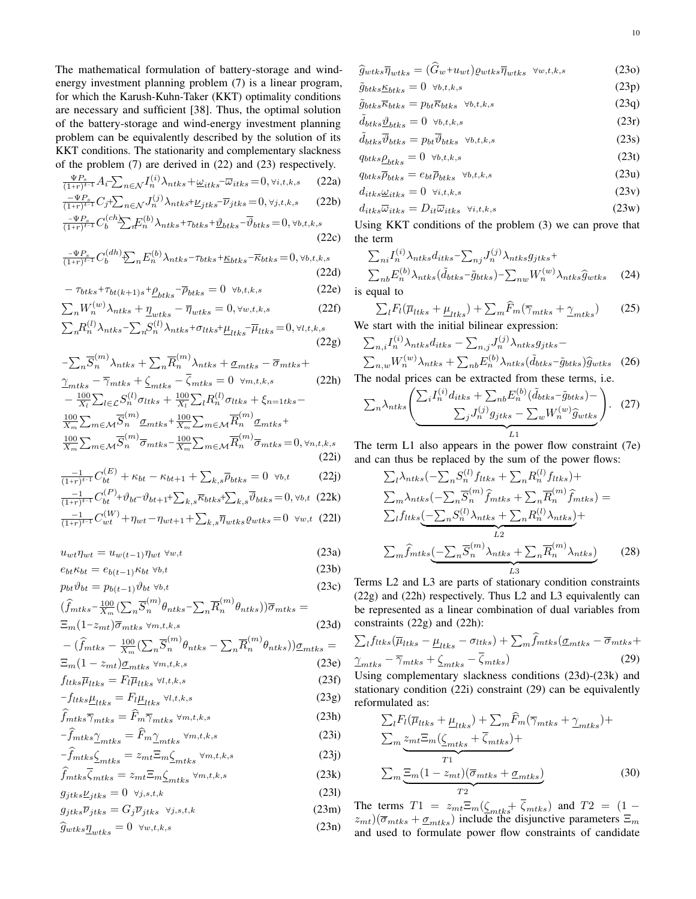The mathematical formulation of battery-storage and windenergy investment planning problem (7) is a linear program, for which the Karush-Kuhn-Taker (KKT) optimality conditions are necessary and sufficient [38]. Thus, the optimal solution of the battery-storage and wind-energy investment planning problem can be equivalently described by the solution of its KKT conditions. The stationarity and complementary slackness of the problem (7) are derived in (22) and (23) respectively.

$$
\frac{\Psi P_s}{(1+r)^{t-1}} A_t - \sum_{n \in \mathcal{N}} I_n^{(i)} \lambda_{ntks} + \underline{\omega}_{itks} - \overline{\omega}_{itks} = 0, \forall i, t, k, s \tag{22a}
$$

$$
\frac{-\Psi P_s}{(1+r)^{t-1}} C_j + \sum_{n \in \mathcal{N}} J_n^{(j)} \lambda_{ntks} + \underline{\nu}_{jtks} - \overline{\nu}_{jtks} = 0, \forall j, t, k, s \qquad (22b)
$$

$$
\frac{-\Psi P_s}{(1+r)^{t-1}} C_b^{(ch)} \sum_{n \in \mathcal{N}} E_n^{(b)} \lambda_{ntks} + \tau_{btks} + \underline{\vartheta}_{btks} - \overline{\vartheta}_{btks} = 0, \forall b, t, k, s
$$

$$
C_b^{(cn)} \sum_{n} F_n^{(b)} \lambda_{ntks} + \tau_{btks} + \underline{\vartheta}_{btks} - \overline{\vartheta}_{btks} = 0, \forall b, t, k, s
$$
\n(22c)

$$
\frac{-\Psi P_s}{(1+r)^{t-1}} C_b^{(dh)} \sum_n E_n^{(b)} \lambda_{ntks} - \tau_{btks} + \underline{\kappa}_{btks} - \overline{\kappa}_{btks} = 0, \forall b, t, k, s
$$
\n(22d)

$$
-\tau_{btks} + \tau_{bt(k+1)s} + \underline{\rho}_{btks} - \overline{\rho}_{btks} = 0 \quad \forall b, t, k, s \tag{22e}
$$

$$
\sum_{n} W_{n}^{(w)} \lambda_{ntks} + \underline{\eta}_{wtks} - \overline{\eta}_{wtks} = 0, \forall w, t, k, s \tag{22f}
$$

$$
\sum_{n} R_{n}^{(l)} \lambda_{ntks} - \sum_{n} S_{n}^{(l)} \lambda_{ntks} + \sigma_{ltks} + \underline{\mu}_{ltks} - \overline{\mu}_{ltks} = 0, \forall l, t, k, s
$$
\n(22g)

$$
-\sum_{n} \overline{S}_{n}^{(m)} \lambda_{ntks} + \sum_{n} \overline{R}_{n}^{(m)} \lambda_{ntks} + \underline{\sigma}_{mtks} - \overline{\sigma}_{mtks} +
$$
  
\n
$$
\underline{\gamma}_{mtks} - \overline{\gamma}_{mtks} + \underline{\zeta}_{mtks} - \overline{\zeta}_{mtks} = 0 \quad \forall m, t, k, s
$$
 (22h)  
\n
$$
-\frac{100}{X_{l}} \sum_{l \in \mathcal{L}} S_{n}^{(l)} \sigma_{ltks} + \frac{100}{X_{l}} \sum_{l} R_{n}^{(l)} \sigma_{ltks} + \xi_{n=1tks} -
$$
  
\n
$$
\frac{100}{X_{m}} \sum_{m \in \mathcal{M}} \overline{S}_{n}^{(m)} \underline{\sigma}_{mtks} + \frac{100}{X_{m}} \sum_{m \in \mathcal{M}} \overline{R}_{n}^{(m)} \underline{\sigma}_{mtks} +
$$
  
\n
$$
\frac{100}{X_{m}} \sum_{m \in \mathcal{M}} \overline{S}_{n}^{(m)} \overline{\sigma}_{mtks} - \frac{100}{X_{m}} \sum_{m \in \mathcal{M}} \overline{R}_{n}^{(m)} \overline{\sigma}_{mtks} = 0, \forall n, t, k, s
$$
  
\n(22i)

$$
\frac{-1}{(1+r)^{t-1}}C_{bt}^{(E)} + \kappa_{bt} - \kappa_{bt+1} + \sum_{k,s} \bar{\rho}_{btks} = 0 \quad \forall b,t
$$
 (22j)

$$
\frac{-1}{(1+r)^{t-1}} C_{bt}^{(P)} + \vartheta_{bt} - \vartheta_{bt+1} + \sum_{k,s} \overline{\kappa}_{btks} + \sum_{k,s} \overline{\vartheta}_{btks} = 0, \forall b, t \quad (22k)
$$

$$
\frac{-1}{(1+r)^{t-1}}C_{wt}^{(W)} + \eta_{wt} - \eta_{wt+1} + \sum_{k,s} \overline{\eta}_{wtks} \varrho_{wtks} = 0 \ \forall w, t \ (221)
$$

 $u_{wt}\eta_{wt} = u_{w(t-1)}\eta_{wt} \forall w,t$  (23a)

$$
e_{bt}\kappa_{bt} = e_{b(t-1)}\kappa_{bt} \forall b,t
$$
\n(23b)

$$
p_{bt}\vartheta_{bt} = p_{b(t-1)}\vartheta_{bt} \,\forall b, t \tag{23c}
$$

$$
\begin{aligned} (\widehat{f}_{mtks} - \frac{100}{X_m} (\sum_n \overline{S}_n^{(m)} \theta_{ntks} - \sum_n \overline{R}_n^{(m)} \theta_{ntks})) \overline{\sigma}_{mtks} &= \\ \Xi_m (1 - z_{mt}) \overline{\sigma}_{mtks} & \forall m, t, k, s \end{aligned} \tag{23d}
$$

$$
- \left(\hat{f}_{mtks} - \frac{100}{X_m} \left(\sum_n \overline{S}_n^{(m)} \theta_{ntks} - \sum_n \overline{R}_n^{(m)} \theta_{ntks}\right)\right) \underline{\sigma}_{mtks} =
$$
  

$$
\Xi_m (1 - z_{mt}) \underline{\sigma}_{mtks} \times \mathbf{S} \tag{23e}
$$

$$
f_{ltks}\overline{\mu}_{ltks} = F_l\overline{\mu}_{ltks} \forall l,t,k,s
$$
\n(23f)

$$
-f_{ltks} \underline{\mu}_{ltks} = F_l \underline{\mu}_{ltks} \ \forall l, t, k, s \tag{23g}
$$

$$
f_{mtks}\overline{\gamma}_{mtks} = \widehat{F}_m \overline{\gamma}_{mtks} \forall m,t,k,s
$$
\n(23h)

$$
-f_{mtks} \underline{\gamma}_{mtks} = F_m \underline{\gamma}_{mtks} \forall m, t, k, s
$$
\n
$$
- \hat{f}_{mtks} \underline{\zeta}_{mtks} = z_{mt} \Xi_m \underline{\zeta}_{mtks} \forall m, t, k, s
$$
\n(23j)

$$
\widehat{f}_{mtks}\overline{\zeta}_{mtks} = z_{mt}\Xi_m\zeta_{mtks} \,\forall m, t, k, s \tag{23k}
$$

$$
g_{jtks}\underline{\nu}_{jtks} = 0 \quad \forall j, s, t, k \tag{231}
$$

$$
g_{jtks}\overline{\nu}_{jtks} = G_j \overline{\nu}_{jtks} \quad \forall j, s, t, k \tag{23m}
$$

$$
\widehat{g}_{wtks}\underline{\eta}_{wtks} = 0 \quad \forall w,t,k,s \tag{23n}
$$

$$
\widehat{g}_{wtks}\overline{\eta}_{wtks} = (G_w + u_{wt})\varrho_{wtks}\overline{\eta}_{wtks} \quad \forall w, t, k, s \tag{230}
$$

$$
\tilde{g}_{btks} \underline{\kappa}_{btks} = 0 \quad \forall b, t, k, s
$$
\n
$$
\tilde{q}_{btks} \overline{\kappa}_{btks} = p_{bt} \overline{\kappa}_{btks} \quad \forall b, t, k, s
$$
\n(23q)

$$
\tilde{d}_{bks} \underline{\vartheta}_{bks} = 0 \quad \forall b,t,k,s \tag{23r}
$$

$$
\tilde{d}_{btks}\overline{\vartheta}_{btks} = p_{bt}\overline{\vartheta}_{btks} \quad \forall b, t, k, s \tag{23s}
$$

$$
q_{btks}\underline{\rho}_{btks} = 0 \quad \forall b, t, k, s \tag{23t}
$$

$$
q_{btks}\overline{\rho}_{btks} = e_{bt}\overline{\rho}_{btks} \quad \forall b,t,k,s
$$
 (23u)

$$
d_{itks} \underline{\omega}_{itks} = 0 \quad \forall i, t, k, s \tag{23v}
$$

$$
d_{itks}\overline{\omega}_{itks} = D_{it}\overline{\omega}_{itks} \quad \forall i, t, k, s \tag{23w}
$$

Using KKT conditions of the problem (3) we can prove that the term

$$
\sum_{ni} I_n^{(i)} \lambda_{ntks} d_{itks} - \sum_{nj} J_n^{(j)} \lambda_{ntks} g_{jtks} +
$$
\n
$$
\sum_{nb} E_n^{(b)} \lambda_{ntks} (\tilde{d}_{btks} - \tilde{g}_{btks}) - \sum_{nw} W_n^{(w)} \lambda_{ntks} \hat{g}_{wtks}
$$
\n(24)

is equal to

$$
\sum_{l} F_{l}(\overline{\mu}_{ltks} + \underline{\mu}_{ltks}) + \sum_{m} \widehat{F}_{m}(\overline{\gamma}_{mtks} + \underline{\gamma}_{mtks})
$$
 (25)  
We start with the initial bilinear expression:

$$
\sum_{n,i} I_n^{(i)} \lambda_{ntks} d_{itks} - \sum_{n,j} J_n^{(j)} \lambda_{ntks} g_{jtks} -
$$
\n
$$
\sum_{n,w} W_n^{(w)} \lambda_{ntks} + \sum_{nb} E_n^{(b)} \lambda_{ntks} (\tilde{d}_{btks} - \tilde{g}_{btks}) \hat{g}_{wtks}
$$
\n(26)

\nThe nodal prices can be extracted from these terms, i.e.

$$
\sum_{n} \lambda_{ntks} \left( \frac{\sum_{i} I_n^{(i)} d_{itks} + \sum_{nb} E_n^{(b)} (\tilde{d}_{btks} - \tilde{g}_{btks}) - \sum_{j} J_n^{(j)} g_{jtks} - \sum_{w} W_n^{(w)} \hat{g}_{wtks}}{L_1} \right). \tag{27}
$$

The term L1 also appears in the power flow constraint (7e) and can thus be replaced by the sum of the power flows:

$$
\sum_{l} \lambda_{ntks} (-\sum_{n} S_{n}^{(l)} f_{ltks} + \sum_{n} R_{n}^{(l)} f_{ltks}) +
$$
\n
$$
\sum_{m} \lambda_{ntks} (-\sum_{n} \overline{S}_{n}^{(m)} \widehat{f}_{mtks} + \sum_{n} \overline{R}_{n}^{(m)} \widehat{f}_{mtks}) =
$$
\n
$$
\sum_{l} f_{ltks} (-\sum_{n} S_{n}^{(l)} \lambda_{ntks} + \sum_{n} R_{n}^{(l)} \lambda_{ntks}) +
$$
\n
$$
\sum_{m} \widehat{f}_{mtks} (-\sum_{n} \overline{S}_{n}^{(m)} \lambda_{ntks} + \sum_{n} \overline{R}_{n}^{(m)} \lambda_{ntks})
$$
\n(28)

Terms L2 and L3 are parts of stationary condition constraints (22g) and (22h) respectively. Thus L2 and L3 equivalently can be represented as a linear combination of dual variables from constraints (22g) and (22h):

$$
\sum_{l} f_{ltks} (\overline{\mu}_{ltks} - \underline{\mu}_{ltks} - \sigma_{ltks}) + \sum_{m} f_{mtks} (\underline{\sigma}_{mtks} - \overline{\sigma}_{mtks} + \underline{\gamma}_{mtks} - \overline{\gamma}_{mtks} + \underline{\zeta}_{mtks} - \overline{\zeta}_{mtks})
$$
\n(29)

Using complementary slackness conditions (23d)-(23k) and stationary condition (22i) constraint (29) can be equivalently reformulated as:

$$
\sum_{l} F_{l}(\overline{\mu}_{ltks} + \underline{\mu}_{ltks}) + \sum_{m} \widehat{F}_{m}(\overline{\gamma}_{mtks} + \underline{\gamma}_{mtks}) +
$$
  

$$
\sum_{m} \underbrace{z_{mt} \Xi_{m}(\underline{\zeta}_{mtks} + \overline{\zeta}_{mtks})}_{T1} +
$$
  

$$
\sum_{m} \underbrace{\Xi_{m} (1 - z_{mt})(\overline{\sigma}_{mtks} + \underline{\sigma}_{mtks})}_{T2}
$$
 (30)

The terms  $T1 = z_{mt} \Xi_m(\zeta_{mtks} + \zeta_{mtks})$  and  $T2 = (1 (z_{mt})(\overline{\sigma}_{mtks} + \underline{\sigma}_{mtks})$  include the disjunctive parameters  $\Xi_m$ and used to formulate power flow constraints of candidate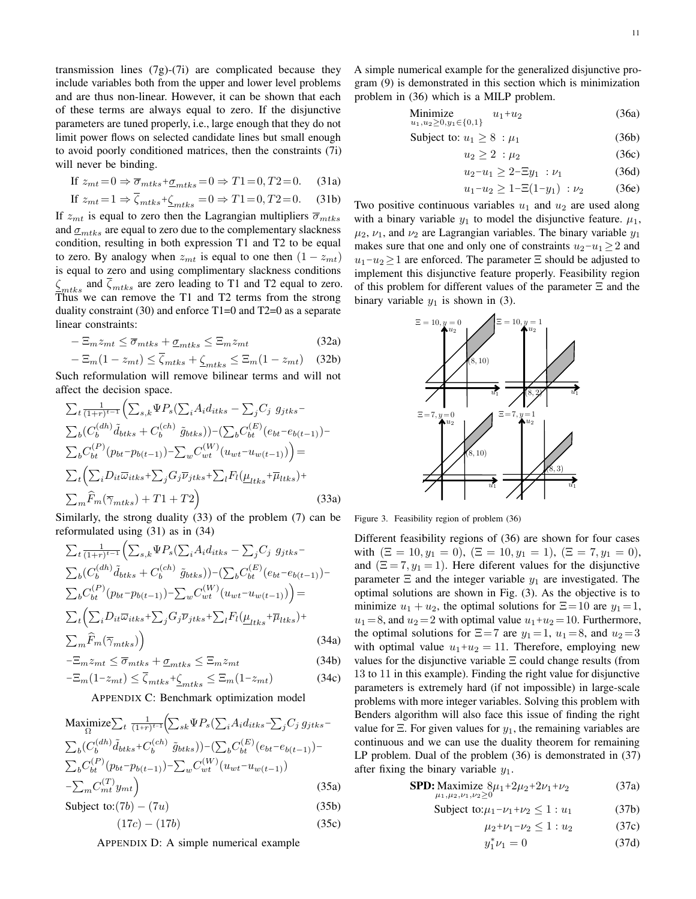transmission lines  $(7g)-(7i)$  are complicated because they include variables both from the upper and lower level problems and are thus non-linear. However, it can be shown that each of these terms are always equal to zero. If the disjunctive parameters are tuned properly, i.e., large enough that they do not limit power flows on selected candidate lines but small enough to avoid poorly conditioned matrices, then the constraints (7i) will never be binding.

$$
\text{If } z_{mt} = 0 \Rightarrow \overline{\sigma}_{mtks} + \underline{\sigma}_{mtks} = 0 \Rightarrow T1 = 0, T2 = 0. \tag{31a}
$$

If 
$$
z_{mt} = 1 \Rightarrow \overline{\zeta}_{mtks} + \underline{\zeta}_{mtks} = 0 \Rightarrow T1 = 0, T2 = 0.
$$
 (31b)

If  $z_{mt}$  is equal to zero then the Lagrangian multipliers  $\overline{\sigma}_{mtks}$ and  $\sigma_{mtks}$  are equal to zero due to the complementary slackness condition, resulting in both expression T1 and T2 to be equal to zero. By analogy when  $z_{mt}$  is equal to one then  $(1 - z_{mt})$ is equal to zero and using complimentary slackness conditions  $\zeta_{mtks}$  and  $\zeta_{mtks}$  are zero leading to T1 and T2 equal to zero. Thus we can remove the T1 and T2 terms from the strong duality constraint (30) and enforce T1=0 and T2=0 as a separate linear constraints:

$$
-\Xi_m z_{mt} \le \overline{\sigma}_{mtks} + \underline{\sigma}_{mtks} \le \Xi_m z_{mt} \tag{32a}
$$

$$
-\Xi_m(1-z_{mt}) \le \overline{\zeta}_{mtks} + \underline{\zeta}_{mtks} \le \Xi_m(1-z_{mt}) \quad (32b)
$$

Such reformulation will remove bilinear terms and will not affect the decision space.

$$
\sum_{t} \frac{1}{(1+r)^{t-1}} \Biggl( \sum_{s,k} \Psi P_s \Bigl( \sum_i A_i d_{itks} - \sum_j C_j g_{jtks} - \sum_b C_b' d_{itks} \Biggr)
$$

$$
\sum_b (C_b^{(dh)} \tilde{d}_{btks} + C_b^{(ch)} \tilde{g}_{btks}) \Biggr) - \Bigl( \sum_b C_{bt}^{(E)} (e_{bt} - e_{b(t-1)}) - \sum_b C_{bt}^{(P)} (p_{bt} - p_{b(t-1)}) - \sum_w C_{wt}^{(W)} (u_{wt} - u_{w(t-1)}) \Biggr) =
$$

$$
\sum_{t} \Biggl( \sum_i D_{it} \overline{\omega}_{itks} + \sum_j G_j \overline{\nu}_{jtks} + \sum_l F_l (\underline{\mu}_{ltks} + \overline{\mu}_{ltks}) + \sum_m \widehat{F}_m (\overline{\gamma}_{mtks}) + T1 + T2 \Biggr)
$$
(33a)

Similarly, the strong duality (33) of the problem (7) can be reformulated using (31) as in (34)

$$
\sum_{t} \frac{1}{(1+r)^{t-1}} \left( \sum_{s,k} \Psi P_s \left( \sum_i A_i d_{itks} - \sum_j C_j g_{jtks} - \sum_k C_k g_{itks} \right) \right)
$$
\n
$$
\sum_{b} \left( C_b^{(dh)} \tilde{d}_{btks} + C_b^{(ch)} \tilde{g}_{btks} \right) - \left( \sum_b C_{bt}^{(E)} (e_{bt} - e_{b(t-1)}) - \sum_k C_{bt}^{(P)} (p_{bt} - p_{b(t-1)}) - \sum_w C_{wt}^{(W)} (u_{wt} - u_{w(t-1)}) \right) =
$$
\n
$$
\sum_{t} \left( \sum_i D_{it} \overline{\omega}_{itks} + \sum_j G_j \overline{\nu}_{jtks} + \sum_l F_l (\underline{\mu}_{itks} + \overline{\mu}_{itks}) + \sum_m \widehat{F}_m (\overline{\gamma}_{mtks}) \right)
$$
\n(34a)

$$
-\Xi_m z_{mt} \le \overline{\sigma}_{mtks} + \underline{\sigma}_{mtks} \le \Xi_m z_{mt}
$$
\n(34b)

$$
-\Xi_m(1-z_{mt}) \le \overline{\zeta}_{mtks} + \underline{\zeta}_{mtks} \le \Xi_m(1-z_{mt})
$$
\n(34c)

APPENDIX C: Benchmark optimization model

$$
\begin{aligned}\n\text{Maximize} & \sum_{t} \frac{1}{(1+r)^{t-1}} \Big( \sum_{sk} \Psi P_s \big( \sum_{i} A_i d_{itks} - \sum_{j} C_j g_{jtks} - \sum_{b} C_b g_{itks} \Big) \\
& \sum_{b} \big( C_b^{(dh)} \tilde{d}_{btks} + C_b^{(ch)} \tilde{g}_{btks} \big) \big) - \big( \sum_{b} C_{bt}^{(E)} \big( e_{bt} - e_{b(t-1)} \big) - \sum_{b} C_{bt}^{(P)} \big( p_{bt} - p_{b(t-1)} \big) - \sum_{w} C_{wt}^{(W)} \big( u_{wt} - u_{w(t-1)} \big) \\
& \quad - \sum_{m} C_{mt}^{(T)} y_{mt} \Big)\n\end{aligned} \tag{35a}
$$

Subject to: $(7b) - (7u)$  (35b)

$$
(17c) - (17b) \tag{35c}
$$

APPENDIX D: A simple numerical example

A simple numerical example for the generalized disjunctive program (9) is demonstrated in this section which is minimization problem in (36) which is a MILP problem.

Minimize 
$$
u_1 + u_2
$$
 (36a)  
 $u_1, u_2 \ge 0, y_1 \in \{0, 1\}$ 

$$
Subject to: u_1 \ge 8 : \mu_1 \tag{36b}
$$

$$
u_2 \ge 2 \, : \mu_2 \tag{36c}
$$

$$
u_2 - u_1 \ge 2 - \Xi y_1 : \nu_1 \tag{36d}
$$

$$
u_1 - u_2 \ge 1 - \Xi(1 - y_1) : \nu_2 \tag{36e}
$$

Two positive continuous variables  $u_1$  and  $u_2$  are used along with a binary variable  $y_1$  to model the disjunctive feature.  $\mu_1$ ,  $\mu_2$ ,  $\nu_1$ , and  $\nu_2$  are Lagrangian variables. The binary variable  $y_1$ makes sure that one and only one of constraints  $u_2-u_1 \geq 2$  and  $u_1-u_2 \geq 1$  are enforced. The parameter  $\Xi$  should be adjusted to implement this disjunctive feature properly. Feasibility region of this problem for different values of the parameter Ξ and the binary variable  $y_1$  is shown in (3).



Figure 3. Feasibility region of problem (36)

Different feasibility regions of (36) are shown for four cases with  $(\Xi = 10, y_1 = 0), (\Xi = 10, y_1 = 1), (\Xi = 7, y_1 = 0),$ and  $(\Xi = 7, y_1 = 1)$ . Here diferent values for the disjunctive parameter  $\Xi$  and the integer variable  $y_1$  are investigated. The optimal solutions are shown in Fig. (3). As the objective is to minimize  $u_1 + u_2$ , the optimal solutions for  $\Xi = 10$  are  $y_1 = 1$ ,  $u_1 = 8$ , and  $u_2 = 2$  with optimal value  $u_1 + u_2 = 10$ . Furthermore, the optimal solutions for  $\Xi = 7$  are  $y_1 = 1$ ,  $u_1 = 8$ , and  $u_2 = 3$ with optimal value  $u_1+u_2=11$ . Therefore, employing new values for the disjunctive variable Ξ could change results (from 13 to 11 in this example). Finding the right value for disjunctive parameters is extremely hard (if not impossible) in large-scale problems with more integer variables. Solving this problem with Benders algorithm will also face this issue of finding the right value for  $\Xi$ . For given values for  $y_1$ , the remaining variables are continuous and we can use the duality theorem for remaining LP problem. Dual of the problem (36) is demonstrated in (37) after fixing the binary variable  $y_1$ .

$$
\text{SPD: Maximize } 8\mu_1 + 2\mu_2 + 2\nu_1 + \nu_2 \tag{37a}
$$

$$
Subject to: \mu_1 - \nu_1 + \nu_2 \le 1: u_1 \tag{37b}
$$

$$
\mu_2 + \nu_1 - \nu_2 \le 1 : u_2 \tag{37c}
$$
  

$$
y_1^* \nu_1 = 0 \tag{37d}
$$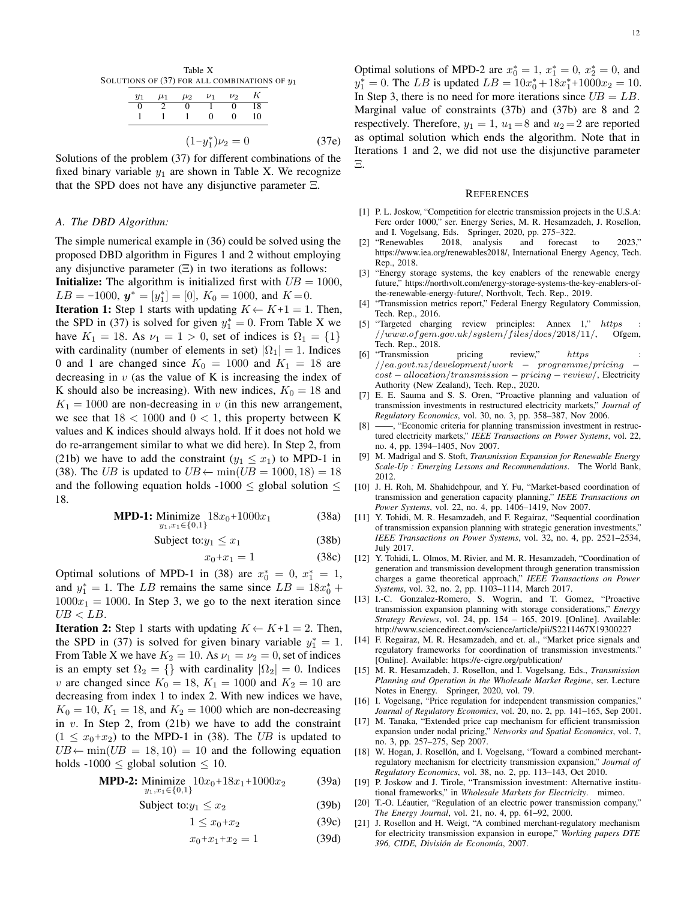| $y_1$ | $\mu_1$ | $\mu_2$ | $\nu_1$ | $\nu_2$    |    |
|-------|---------|---------|---------|------------|----|
|       |         |         |         | $^{\circ}$ | 18 |
|       |         |         | 0       |            | 10 |

Solutions of the problem (37) for different combinations of the fixed binary variable  $y_1$  are shown in Table X. We recognize that the SPD does not have any disjunctive parameter  $\Xi$ .

#### *A. The DBD Algorithm:*

The simple numerical example in (36) could be solved using the proposed DBD algorithm in Figures 1 and 2 without employing any disjunctive parameter  $(\Xi)$  in two iterations as follows:

**Initialize:** The algorithm is initialized first with  $UB = 1000$ ,  $LB = -1000, y^* = [y_1^*] = [0], K_0 = 1000, \text{ and } K = 0.$ 

**Iteration 1:** Step 1 starts with updating  $K \leftarrow K+1 = 1$ . Then, the SPD in (37) is solved for given  $y_1^* = 0$ . From Table X we have  $K_1 = 18$ . As  $\nu_1 = 1 > 0$ , set of indices is  $\Omega_1 = \{1\}$ with cardinality (number of elements in set)  $|\Omega_1| = 1$ . Indices 0 and 1 are changed since  $K_0 = 1000$  and  $K_1 = 18$  are decreasing in  $v$  (as the value of K is increasing the index of K should also be increasing). With new indices,  $K_0 = 18$  and  $K_1 = 1000$  are non-decreasing in v (in this new arrangement, we see that  $18 < 1000$  and  $0 < 1$ , this property between K values and K indices should always hold. If it does not hold we do re-arrangement similar to what we did here). In Step 2, from (21b) we have to add the constraint ( $y_1 \leq x_1$ ) to MPD-1 in (38). The UB is updated to  $UB \leftarrow min(UB = 1000, 18) = 18$ and the following equation holds -1000  $\leq$  global solution  $\leq$ 18.

**MPD-1:** Minimize 
$$
18x_0+1000x_1
$$
 (38a)  
 $y_1, x_1 \in \{0,1\}$ 

Subject to: $y_1 \leq x_1$  (38b)

$$
x_0 + x_1 = 1 \tag{38c}
$$

Optimal solutions of MPD-1 in (38) are  $x_0^* = 0$ ,  $x_1^* = 1$ , and  $y_1^* = 1$ . The LB remains the same since  $LB = 18x_0^* +$  $1000x_1 = 1000$ . In Step 3, we go to the next iteration since  $UB < LB$ .

**Iteration 2:** Step 1 starts with updating  $K \leftarrow K+1 = 2$ . Then, the SPD in (37) is solved for given binary variable  $y_1^* = 1$ . From Table X we have  $K_2 = 10$ . As  $\nu_1 = \nu_2 = 0$ , set of indices is an empty set  $\Omega_2 = \{\}$  with cardinality  $|\Omega_2| = 0$ . Indices v are changed since  $K_0 = 18$ ,  $K_1 = 1000$  and  $K_2 = 10$  are decreasing from index 1 to index 2. With new indices we have,  $K_0 = 10$ ,  $K_1 = 18$ , and  $K_2 = 1000$  which are non-decreasing in  $v$ . In Step 2, from (21b) we have to add the constraint  $(1 \leq x_0+x_2)$  to the MPD-1 in (38). The UB is updated to  $UB \leftarrow min(UB = 18, 10) = 10$  and the following equation holds  $-1000 \le$  global solution  $\le$  10.

**MPD-2:** Minimize 
$$
10x_0+18x_1+1000x_2
$$
 (39a)  
 $y_1, x_1 \in \{0,1\}$ 

Subject to: $y_1 \le x_2$  (39b)

$$
1 \le x_0 + x_2 \tag{39c}
$$

$$
x_0 + x_1 + x_2 = 1 \tag{39d}
$$

Optimal solutions of MPD-2 are  $x_0^* = 1$ ,  $x_1^* = 0$ ,  $x_2^* = 0$ , and  $y_1^* = 0$ . The LB is updated  $LB = 10x_0^* + 18x_1^* + 1000x_2 = 10$ . In Step 3, there is no need for more iterations since  $UB = LB$ . Marginal value of constraints (37b) and (37b) are 8 and 2 respectively. Therefore,  $y_1 = 1$ ,  $u_1 = 8$  and  $u_2 = 2$  are reported as optimal solution which ends the algorithm. Note that in Iterations 1 and 2, we did not use the disjunctive parameter Ξ.

#### **REFERENCES**

- [1] P. L. Joskow, "Competition for electric transmission projects in the U.S.A: Ferc order 1000," ser. Energy Series, M. R. Hesamzadeh, J. Rosellon, and I. Vogelsang, Eds. Springer, 2020, pp. 275–322.
- [2] "Renewables 2018, analysis and forecast to 2023," https://www.iea.org/renewables2018/, International Energy Agency, Tech. Rep., 2018.
- [3] "Energy storage systems, the key enablers of the renewable energy future," https://northvolt.com/energy-storage-systems-the-key-enablers-ofthe-renewable-energy-future/, Northvolt, Tech. Rep., 2019.
- [4] "Transmission metrics report," Federal Energy Regulatory Commission, Tech. Rep., 2016.
- [5] "Targeted charging review principles: Annex 1," https  $/www. of gem.gov.uk/system/files/docs/2018/11/$ , Ofgem, Tech. Rep., 2018.
- [6] "Transmission pricing review," https  $//e a.gov. n z/development/work - programme/ pricing$ cost − allocation/transmission − pricing − review/, Electricity Authority (New Zealand), Tech. Rep., 2020.
- [7] E. E. Sauma and S. S. Oren, "Proactive planning and valuation of transmission investments in restructured electricity markets," *Journal of Regulatory Economics*, vol. 30, no. 3, pp. 358–387, Nov 2006.
- [8] ——, "Economic criteria for planning transmission investment in restructured electricity markets," *IEEE Transactions on Power Systems*, vol. 22, no. 4, pp. 1394–1405, Nov 2007.
- [9] M. Madrigal and S. Stoft, *Transmission Expansion for Renewable Energy Scale-Up : Emerging Lessons and Recommendations*. The World Bank, 2012.
- [10] J. H. Roh, M. Shahidehpour, and Y. Fu, "Market-based coordination of transmission and generation capacity planning," *IEEE Transactions on Power Systems*, vol. 22, no. 4, pp. 1406–1419, Nov 2007.
- [11] Y. Tohidi, M. R. Hesamzadeh, and F. Regairaz, "Sequential coordination of transmission expansion planning with strategic generation investments," *IEEE Transactions on Power Systems*, vol. 32, no. 4, pp. 2521–2534, July 2017.
- [12] Y. Tohidi, L. Olmos, M. Rivier, and M. R. Hesamzadeh. "Coordination of generation and transmission development through generation transmission charges a game theoretical approach," *IEEE Transactions on Power Systems*, vol. 32, no. 2, pp. 1103–1114, March 2017.
- [13] I.-C. Gonzalez-Romero, S. Wogrin, and T. Gomez, "Proactive transmission expansion planning with storage considerations," *Energy Strategy Reviews*, vol. 24, pp. 154 – 165, 2019. [Online]. Available: http://www.sciencedirect.com/science/article/pii/S2211467X19300227
- [14] F. Regairaz, M. R. Hesamzadeh, and et. al., "Market price signals and regulatory frameworks for coordination of transmission investments." [Online]. Available: https://e-cigre.org/publication/
- [15] M. R. Hesamzadeh, J. Rosellon, and I. Vogelsang, Eds., *Transmission Planning and Operation in the Wholesale Market Regime*, ser. Lecture Notes in Energy. Springer, 2020, vol. 79.
- [16] I. Vogelsang, "Price regulation for independent transmission companies," *Journal of Regulatory Economics*, vol. 20, no. 2, pp. 141–165, Sep 2001.
- [17] M. Tanaka, "Extended price cap mechanism for efficient transmission expansion under nodal pricing," *Networks and Spatial Economics*, vol. 7, no. 3, pp. 257–275, Sep 2007.
- [18] W. Hogan, J. Rosellón, and I. Vogelsang, "Toward a combined merchantregulatory mechanism for electricity transmission expansion," *Journal of Regulatory Economics*, vol. 38, no. 2, pp. 113–143, Oct 2010.
- [19] P. Joskow and J. Tirole, "Transmission investment: Alternative institutional frameworks," in *Wholesale Markets for Electricity*. mimeo.
- [20] T.-O. Léautier, "Regulation of an electric power transmission company," *The Energy Journal*, vol. 21, no. 4, pp. 61–92, 2000.
- [21] J. Rosellon and H. Weigt, "A combined merchant-regulatory mechanism for electricity transmission expansion in europe," *Working papers DTE 396, CIDE, Division de Econom ´ ´ıa*, 2007.